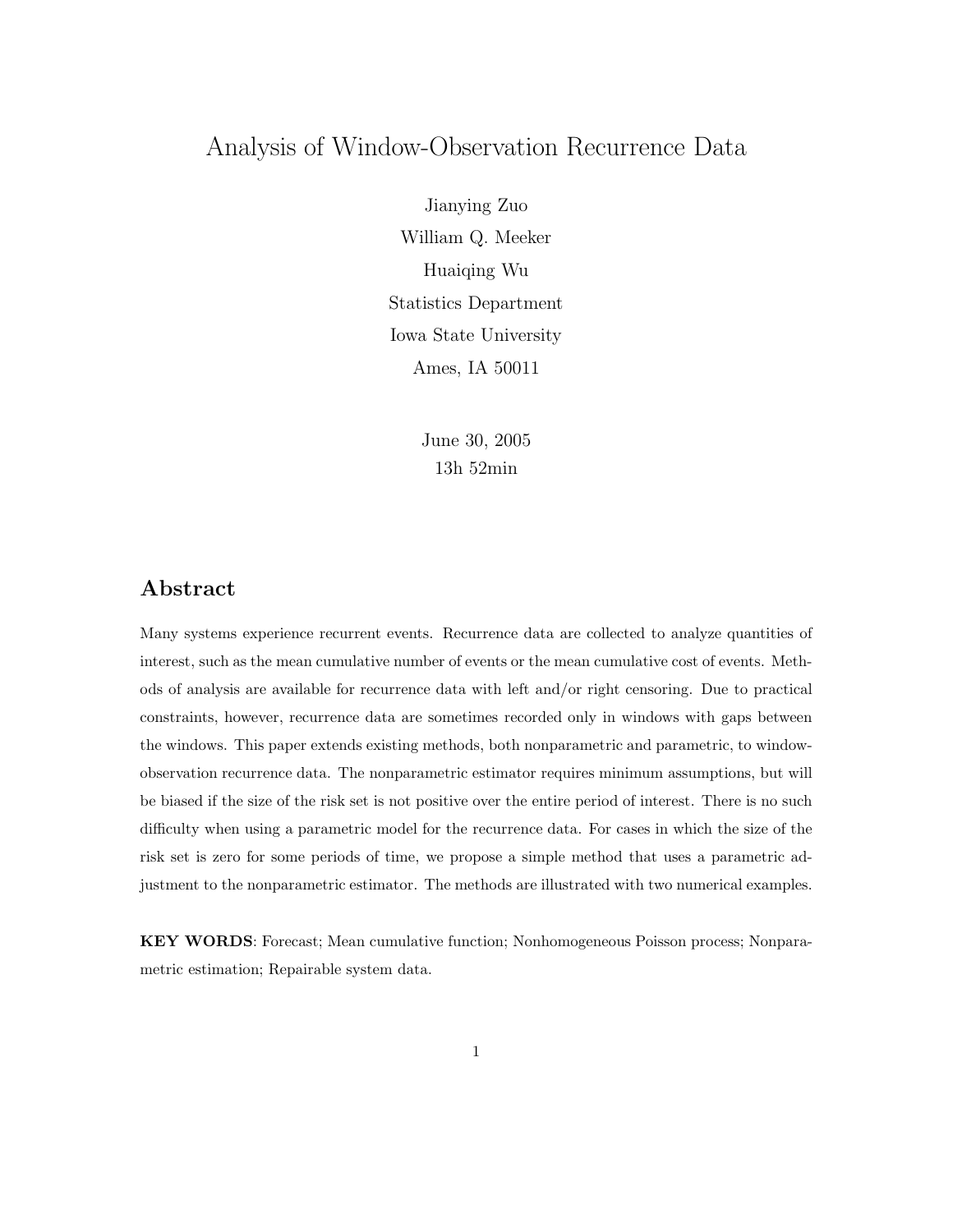# Analysis of Window-Observation Recurrence Data

Jianying Zuo William Q. Meeker Huaiqing Wu  $S$  statistics  $S$  beparently  $\sum_{i=1}^{n}$  $\overline{a}$   $\overline{b}$   $\overline{c}$   $\overline{c}$   $\overline{c}$   $\overline{c}$   $\overline{c}$   $\overline{c}$   $\overline{c}$   $\overline{c}$   $\overline{c}$   $\overline{c}$   $\overline{c}$   $\overline{c}$   $\overline{c}$   $\overline{c}$   $\overline{c}$   $\overline{c}$   $\overline{c}$   $\overline{c}$   $\overline{c}$   $\overline{c}$   $\overline{c}$   $\overline{c}$   $\overline{$ 

> June 30, 2005 13h 52min

## **Abstract**

Many systems experience recurrent events. Recurrence data are collected to analyze quantities of interest, such as the mean cumulative number of events or the mean cumulative cost of events. Methods of analysis are available for recurrence data with left and/or right censoring. Due to practical constraints, however, recurrence data are sometimes recorded only in windows with gaps between the windows. This paper extends existing methods, both nonparametric and parametric, to windowobservation recurrence data. The nonparametric estimator requires minimum assumptions, but will be biased if the size of the risk set is not positive over the entire period of interest. There is no such difficulty when using a parametric model for the recurrence data. For cases in which the size of the risk set is zero for some periods of time, we propose a simple method that uses a parametric adjustment to the nonparametric estimator. The methods are illustrated with two numerical examples.

**KEY WORDS**: Forecast; Mean cumulative function; Nonhomogeneous Poisson process; Nonparametric estimation; Repairable system data.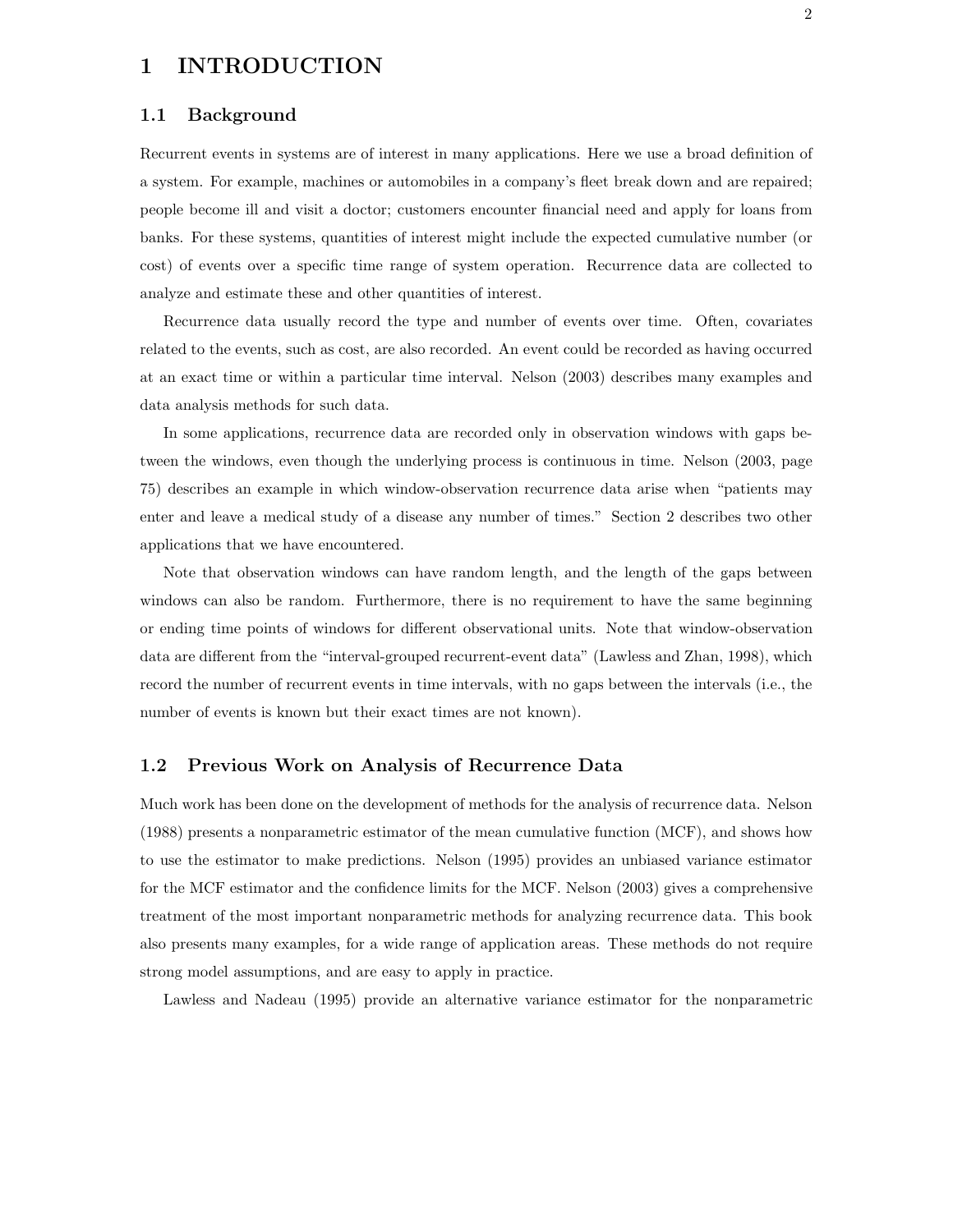#### **1 INTRODUCTION**

#### **1.1 Background**

Recurrent events in systems are of interest in many applications. Here we use a broad definition of a system. For example, machines or automobiles in a company's fleet break down and are repaired; people become ill and visit a doctor; customers encounter financial need and apply for loans from banks. For these systems, quantities of interest might include the expected cumulative number (or cost) of events over a specific time range of system operation. Recurrence data are collected to analyze and estimate these and other quantities of interest.

Recurrence data usually record the type and number of events over time. Often, covariates related to the events, such as cost, are also recorded. An event could be recorded as having occurred at an exact time or within a particular time interval. Nelson (2003) describes many examples and data analysis methods for such data.

In some applications, recurrence data are recorded only in observation windows with gaps between the windows, even though the underlying process is continuous in time. Nelson (2003, page 75) describes an example in which window-observation recurrence data arise when "patients may enter and leave a medical study of a disease any number of times." Section 2 describes two other applications that we have encountered.

Note that observation windows can have random length, and the length of the gaps between windows can also be random. Furthermore, there is no requirement to have the same beginning or ending time points of windows for different observational units. Note that window-observation data are different from the "interval-grouped recurrent-event data" (Lawless and Zhan, 1998), which record the number of recurrent events in time intervals, with no gaps between the intervals (i.e., the number of events is known but their exact times are not known).

#### **1.2 Previous Work on Analysis of Recurrence Data**

Much work has been done on the development of methods for the analysis of recurrence data. Nelson (1988) presents a nonparametric estimator of the mean cumulative function (MCF), and shows how to use the estimator to make predictions. Nelson (1995) provides an unbiased variance estimator for the MCF estimator and the confidence limits for the MCF. Nelson (2003) gives a comprehensive treatment of the most important nonparametric methods for analyzing recurrence data. This book also presents many examples, for a wide range of application areas. These methods do not require strong model assumptions, and are easy to apply in practice.

Lawless and Nadeau (1995) provide an alternative variance estimator for the nonparametric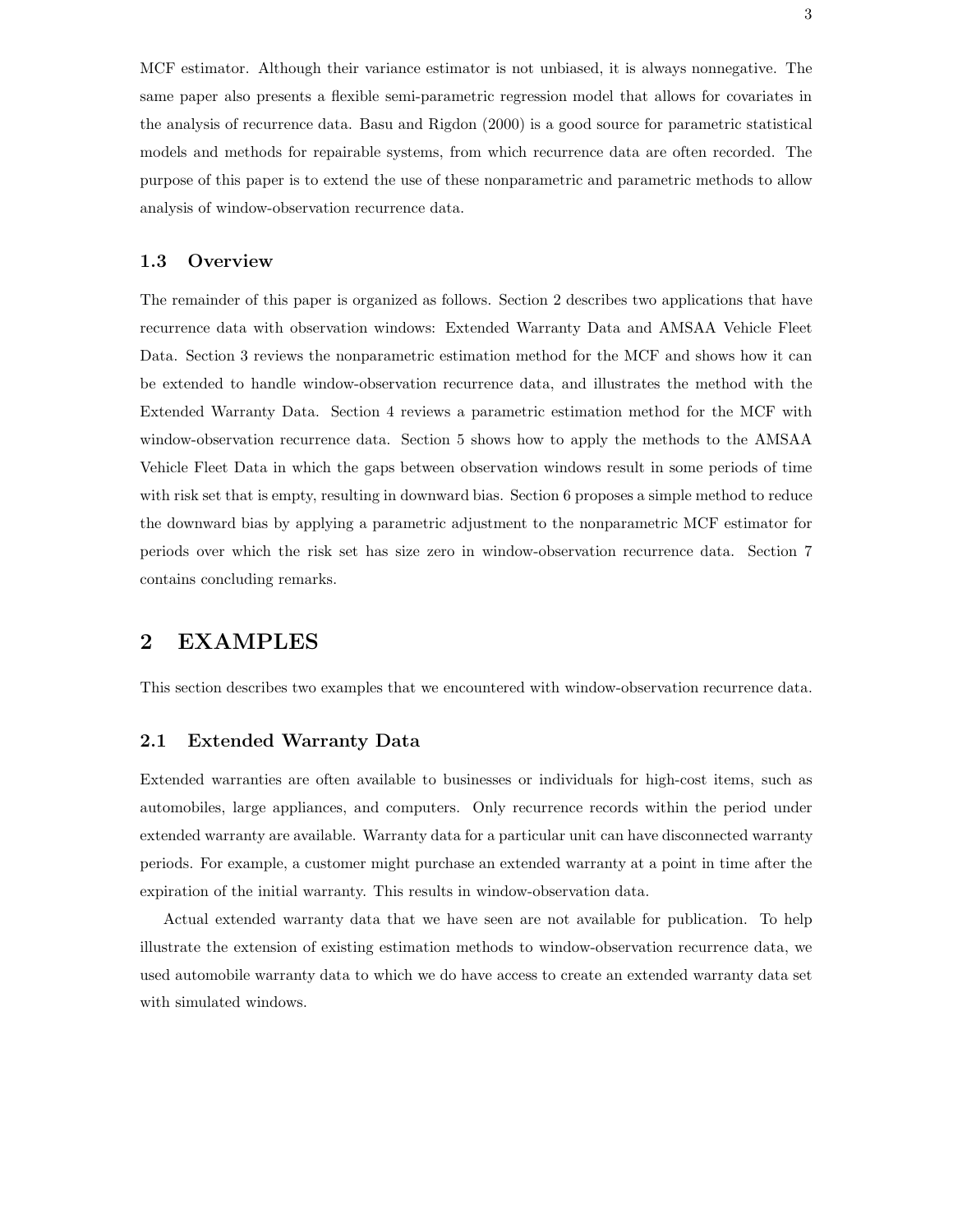MCF estimator. Although their variance estimator is not unbiased, it is always nonnegative. The same paper also presents a flexible semi-parametric regression model that allows for covariates in the analysis of recurrence data. Basu and Rigdon (2000) is a good source for parametric statistical models and methods for repairable systems, from which recurrence data are often recorded. The purpose of this paper is to extend the use of these nonparametric and parametric methods to allow analysis of window-observation recurrence data.

#### **1.3 Overview**

The remainder of this paper is organized as follows. Section 2 describes two applications that have recurrence data with observation windows: Extended Warranty Data and AMSAA Vehicle Fleet Data. Section 3 reviews the nonparametric estimation method for the MCF and shows how it can be extended to handle window-observation recurrence data, and illustrates the method with the Extended Warranty Data. Section 4 reviews a parametric estimation method for the MCF with window-observation recurrence data. Section 5 shows how to apply the methods to the AMSAA Vehicle Fleet Data in which the gaps between observation windows result in some periods of time with risk set that is empty, resulting in downward bias. Section 6 proposes a simple method to reduce the downward bias by applying a parametric adjustment to the nonparametric MCF estimator for periods over which the risk set has size zero in window-observation recurrence data. Section 7 contains concluding remarks.

## **2 EXAMPLES**

This section describes two examples that we encountered with window-observation recurrence data.

#### **2.1 Extended Warranty Data**

Extended warranties are often available to businesses or individuals for high-cost items, such as automobiles, large appliances, and computers. Only recurrence records within the period under extended warranty are available. Warranty data for a particular unit can have disconnected warranty periods. For example, a customer might purchase an extended warranty at a point in time after the expiration of the initial warranty. This results in window-observation data.

Actual extended warranty data that we have seen are not available for publication. To help illustrate the extension of existing estimation methods to window-observation recurrence data, we used automobile warranty data to which we do have access to create an extended warranty data set with simulated windows.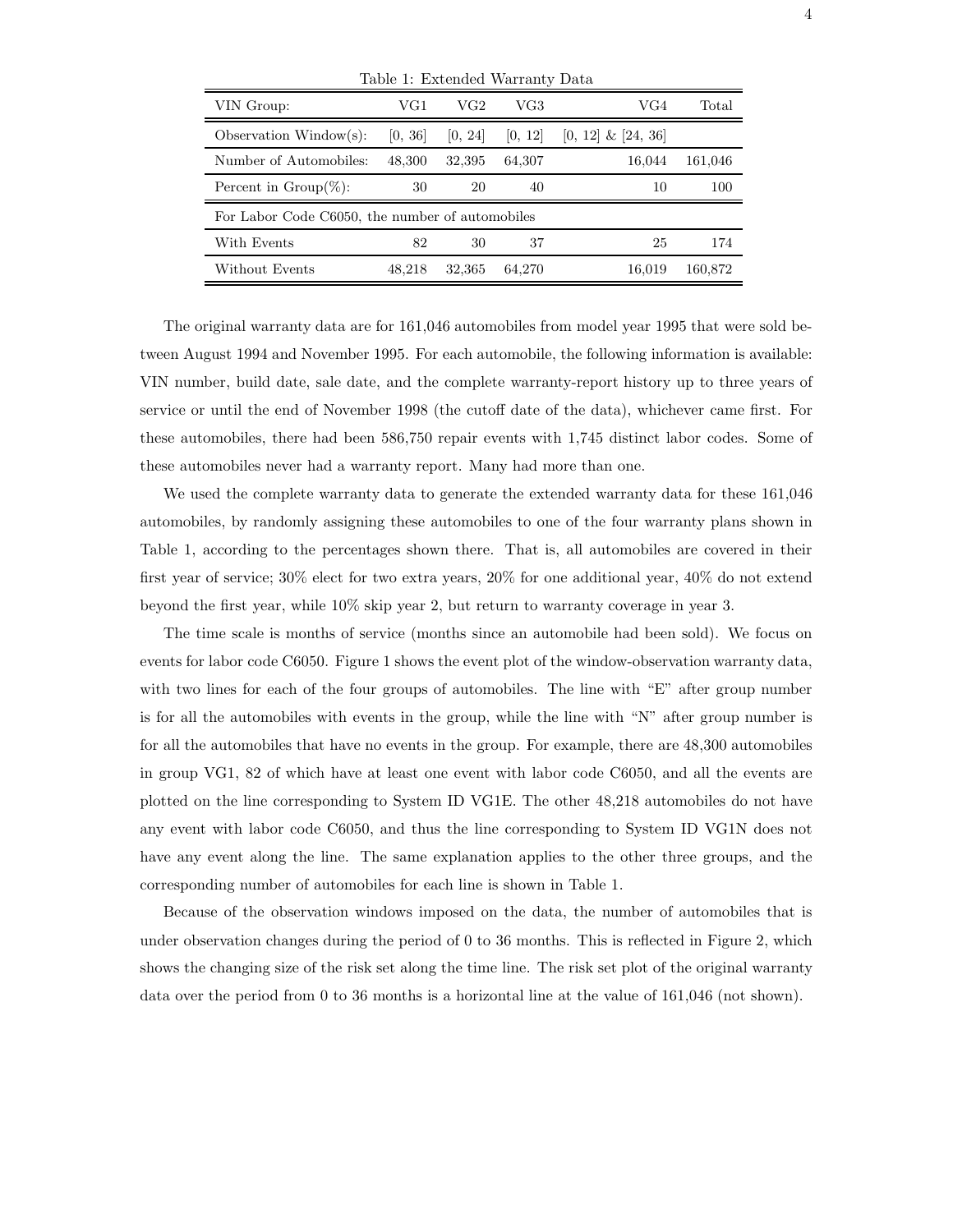| Table 1: Extended Warranty Data                 |         |         |         |                       |         |  |
|-------------------------------------------------|---------|---------|---------|-----------------------|---------|--|
| VIN Group:                                      | VG1     | VG2     | VG3     | VG4                   | Total   |  |
| Observation Window(s):                          | [0, 36] | [0, 24] | [0, 12] | $[0, 12] \& [24, 36]$ |         |  |
| Number of Automobiles:                          | 48,300  | 32,395  | 64,307  | 16.044                | 161,046 |  |
| Percent in $Group(\%):$                         | 30      | 20      | 40      | 10                    | 100     |  |
| For Labor Code C6050, the number of automobiles |         |         |         |                       |         |  |
| With Events                                     | 82      | 30      | 37      | 25                    | 174     |  |
| Without Events                                  | 48.218  | 32,365  | 64,270  | 16.019                | 160,872 |  |

The original warranty data are for 161,046 automobiles from model year 1995 that were sold between August 1994 and November 1995. For each automobile, the following information is available: VIN number, build date, sale date, and the complete warranty-report history up to three years of service or until the end of November 1998 (the cutoff date of the data), whichever came first. For these automobiles, there had been 586,750 repair events with 1,745 distinct labor codes. Some of these automobiles never had a warranty report. Many had more than one.

We used the complete warranty data to generate the extended warranty data for these 161,046 automobiles, by randomly assigning these automobiles to one of the four warranty plans shown in Table 1, according to the percentages shown there. That is, all automobiles are covered in their first year of service; 30% elect for two extra years, 20% for one additional year, 40% do not extend beyond the first year, while 10% skip year 2, but return to warranty coverage in year 3.

The time scale is months of service (months since an automobile had been sold). We focus on events for labor code C6050. Figure 1 shows the event plot of the window-observation warranty data, with two lines for each of the four groups of automobiles. The line with "E" after group number is for all the automobiles with events in the group, while the line with "N" after group number is for all the automobiles that have no events in the group. For example, there are 48,300 automobiles in group VG1, 82 of which have at least one event with labor code C6050, and all the events are plotted on the line corresponding to System ID VG1E. The other 48,218 automobiles do not have any event with labor code C6050, and thus the line corresponding to System ID VG1N does not have any event along the line. The same explanation applies to the other three groups, and the corresponding number of automobiles for each line is shown in Table 1.

Because of the observation windows imposed on the data, the number of automobiles that is under observation changes during the period of 0 to 36 months. This is reflected in Figure 2, which shows the changing size of the risk set along the time line. The risk set plot of the original warranty data over the period from 0 to 36 months is a horizontal line at the value of 161,046 (not shown).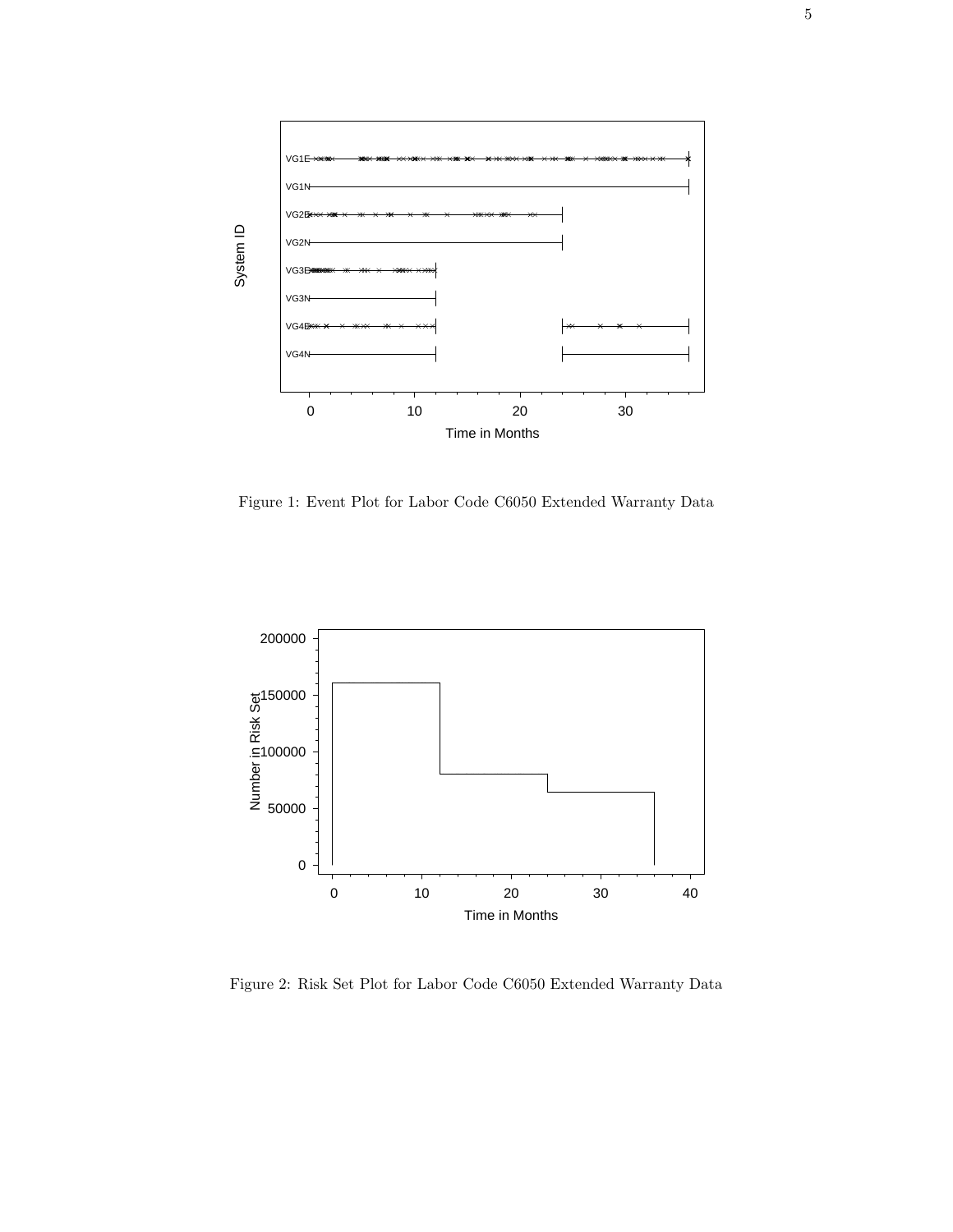

Figure 1: Event Plot for Labor Code C6050 Extended Warranty Data



Figure 2: Risk Set Plot for Labor Code C6050 Extended Warranty Data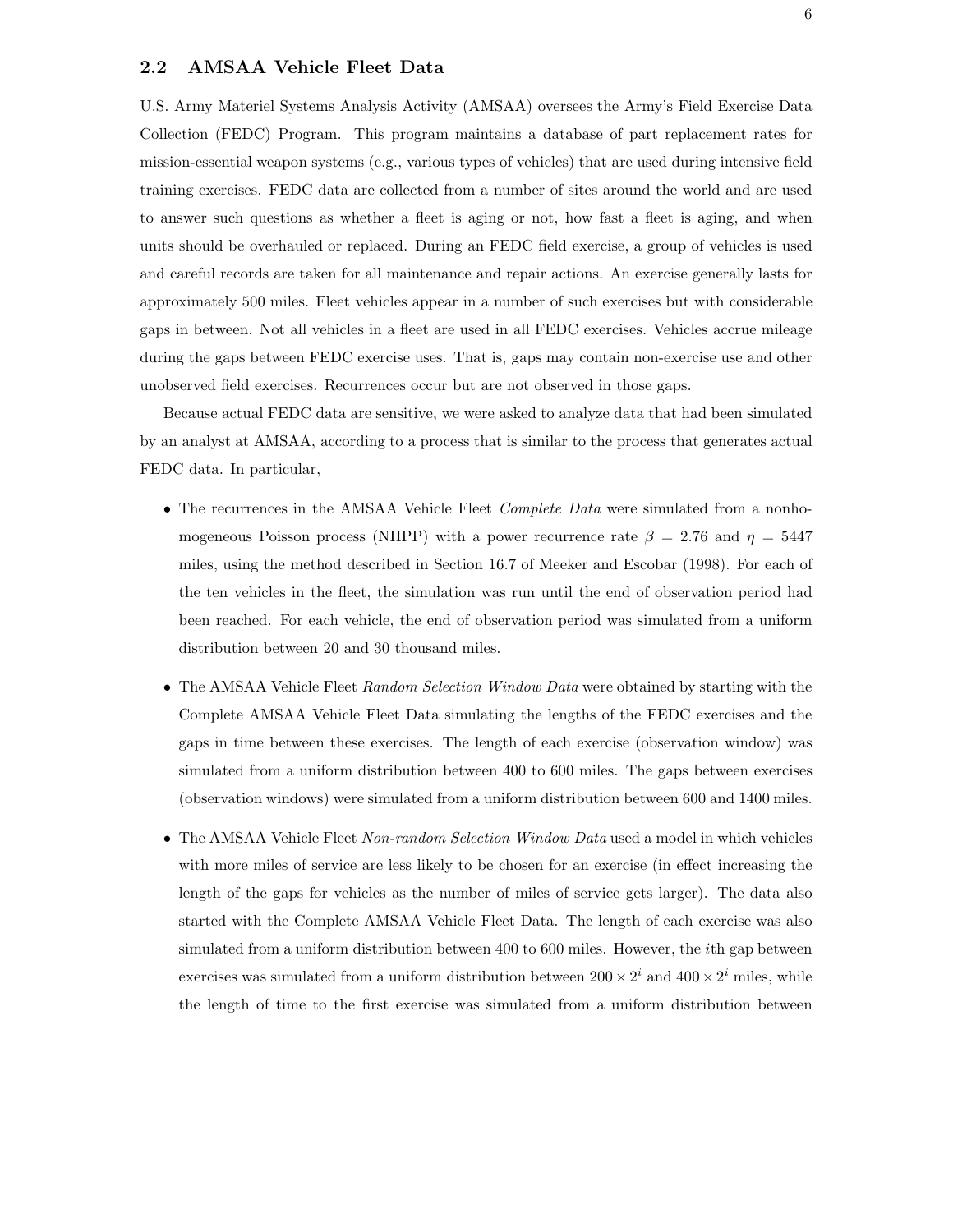#### **2.2 AMSAA Vehicle Fleet Data**

U.S. Army Materiel Systems Analysis Activity (AMSAA) oversees the Army's Field Exercise Data Collection (FEDC) Program. This program maintains a database of part replacement rates for mission-essential weapon systems (e.g., various types of vehicles) that are used during intensive field training exercises. FEDC data are collected from a number of sites around the world and are used to answer such questions as whether a fleet is aging or not, how fast a fleet is aging, and when units should be overhauled or replaced. During an FEDC field exercise, a group of vehicles is used and careful records are taken for all maintenance and repair actions. An exercise generally lasts for approximately 500 miles. Fleet vehicles appear in a number of such exercises but with considerable gaps in between. Not all vehicles in a fleet are used in all FEDC exercises. Vehicles accrue mileage during the gaps between FEDC exercise uses. That is, gaps may contain non-exercise use and other unobserved field exercises. Recurrences occur but are not observed in those gaps.

Because actual FEDC data are sensitive, we were asked to analyze data that had been simulated by an analyst at AMSAA, according to a process that is similar to the process that generates actual FEDC data. In particular,

- The recurrences in the AMSAA Vehicle Fleet *Complete Data* were simulated from a nonhomogeneous Poisson process (NHPP) with a power recurrence rate  $\beta = 2.76$  and  $\eta = 5447$ miles, using the method described in Section 16.7 of Meeker and Escobar (1998). For each of the ten vehicles in the fleet, the simulation was run until the end of observation period had been reached. For each vehicle, the end of observation period was simulated from a uniform distribution between 20 and 30 thousand miles.
- The AMSAA Vehicle Fleet *Random Selection Window Data* were obtained by starting with the Complete AMSAA Vehicle Fleet Data simulating the lengths of the FEDC exercises and the gaps in time between these exercises. The length of each exercise (observation window) was simulated from a uniform distribution between 400 to 600 miles. The gaps between exercises (observation windows) were simulated from a uniform distribution between 600 and 1400 miles.
- The AMSAA Vehicle Fleet *Non-random Selection Window Data* used a model in which vehicles with more miles of service are less likely to be chosen for an exercise (in effect increasing the length of the gaps for vehicles as the number of miles of service gets larger). The data also started with the Complete AMSAA Vehicle Fleet Data. The length of each exercise was also simulated from a uniform distribution between 400 to 600 miles. However, the *i*th gap between exercises was simulated from a uniform distribution between  $200 \times 2^i$  and  $400 \times 2^i$  miles, while the length of time to the first exercise was simulated from a uniform distribution between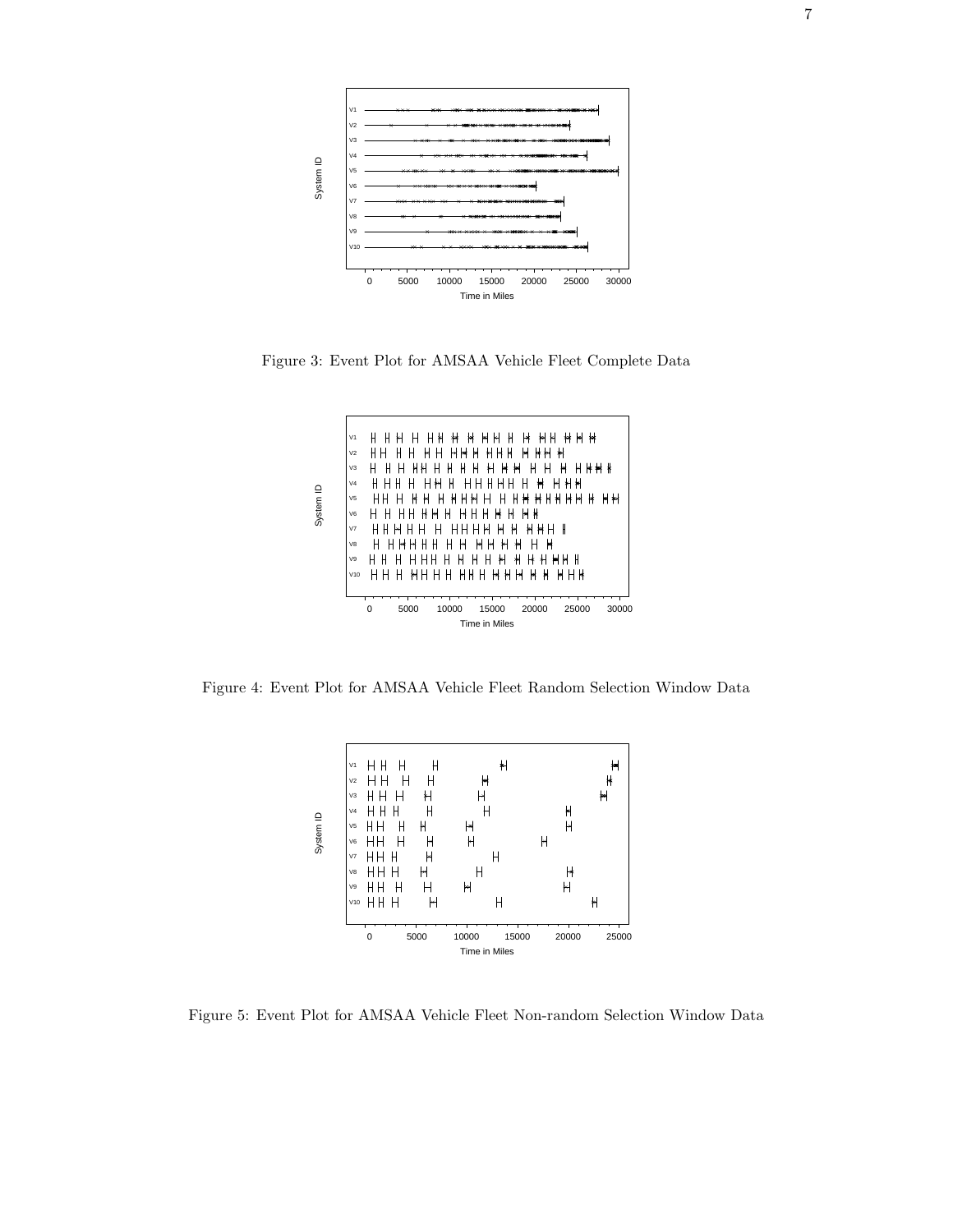

Figure 3: Event Plot for AMSAA Vehicle Fleet Complete Data



Figure 4: Event Plot for AMSAA Vehicle Fleet Random Selection Window Data



Figure 5: Event Plot for AMSAA Vehicle Fleet Non-random Selection Window Data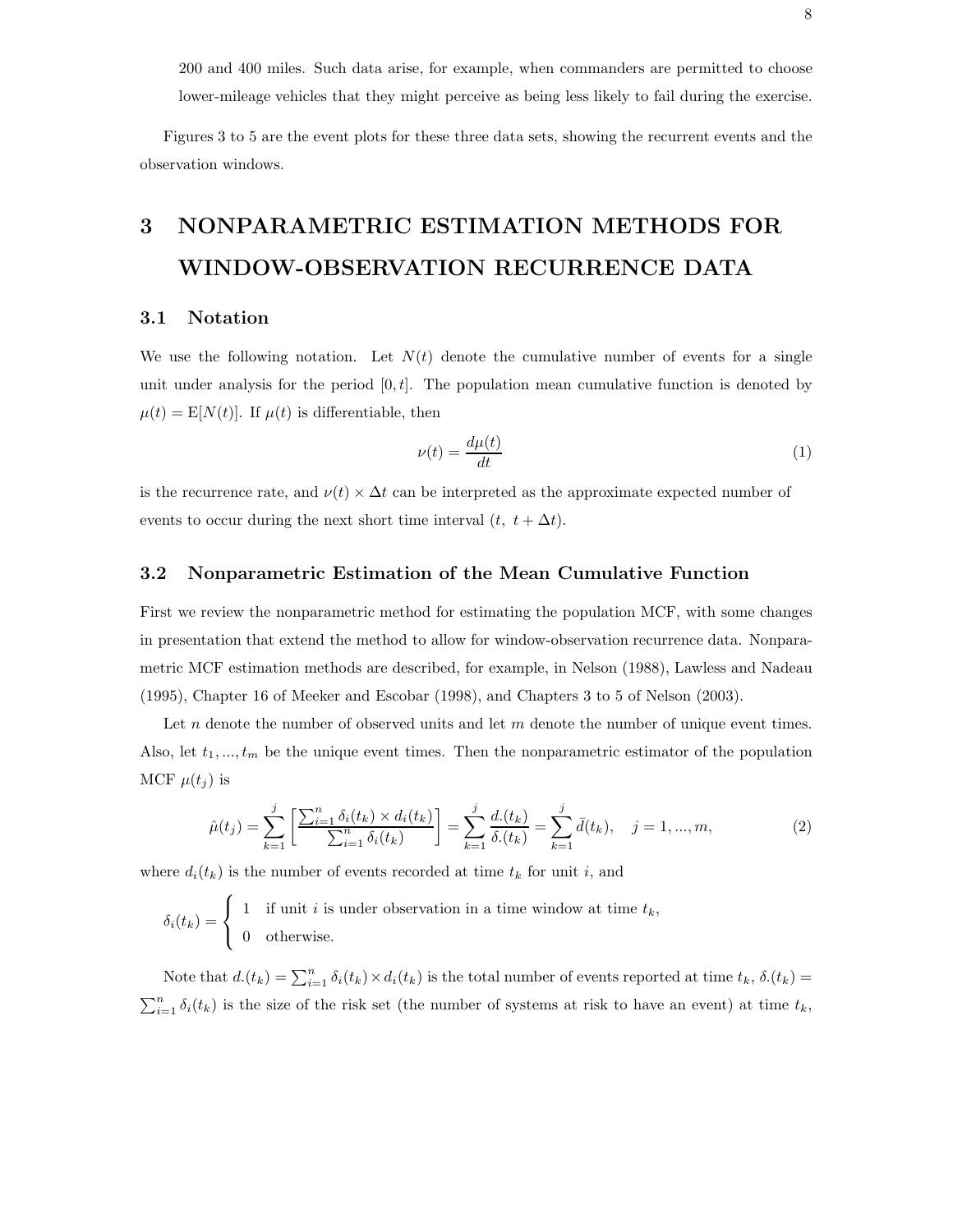200 and 400 miles. Such data arise, for example, when commanders are permitted to choose lower-mileage vehicles that they might perceive as being less likely to fail during the exercise.

Figures 3 to 5 are the event plots for these three data sets, showing the recurrent events and the observation windows.

# **3 NONPARAMETRIC ESTIMATION METHODS FOR WINDOW-OBSERVATION RECURRENCE DATA**

#### **3.1 Notation**

We use the following notation. Let  $N(t)$  denote the cumulative number of events for a single unit under analysis for the period  $[0, t]$ . The population mean cumulative function is denoted by  $\mu(t) = \mathbb{E}[N(t)].$  If  $\mu(t)$  is differentiable, then

$$
\nu(t) = \frac{d\mu(t)}{dt} \tag{1}
$$

is the recurrence rate, and  $\nu(t) \times \Delta t$  can be interpreted as the approximate expected number of events to occur during the next short time interval  $(t, t + \Delta t)$ .

#### **3.2 Nonparametric Estimation of the Mean Cumulative Function**

First we review the nonparametric method for estimating the population MCF, with some changes in presentation that extend the method to allow for window-observation recurrence data. Nonparametric MCF estimation methods are described, for example, in Nelson (1988), Lawless and Nadeau (1995), Chapter 16 of Meeker and Escobar (1998), and Chapters 3 to 5 of Nelson (2003).

Let n denote the number of observed units and let  $m$  denote the number of unique event times. Also, let  $t_1, ..., t_m$  be the unique event times. Then the nonparametric estimator of the population MCF  $\mu(t_i)$  is

$$
\hat{\mu}(t_j) = \sum_{k=1}^j \left[ \frac{\sum_{i=1}^n \delta_i(t_k) \times d_i(t_k)}{\sum_{i=1}^n \delta_i(t_k)} \right] = \sum_{k=1}^j \frac{d_i(t_k)}{\delta_i(t_k)} = \sum_{k=1}^j \bar{d}(t_k), \quad j = 1, ..., m,
$$
\n(2)

where  $d_i(t_k)$  is the number of events recorded at time  $t_k$  for unit i, and

$$
\delta_i(t_k) = \begin{cases} 1 & \text{if unit } i \text{ is under observation in a time window at time } t_k, \\ 0 & \text{otherwise.} \end{cases}
$$

Note that  $d(t_k) = \sum_{i=1}^n \delta_i(t_k) \times d_i(t_k)$  is the total number of events reported at time  $t_k$ ,  $\delta_i(t_k) =$  $\sum_{i=1}^{n} \delta_i(t_k)$  is the size of the risk set (the number of systems at risk to have an event) at time  $t_k$ ,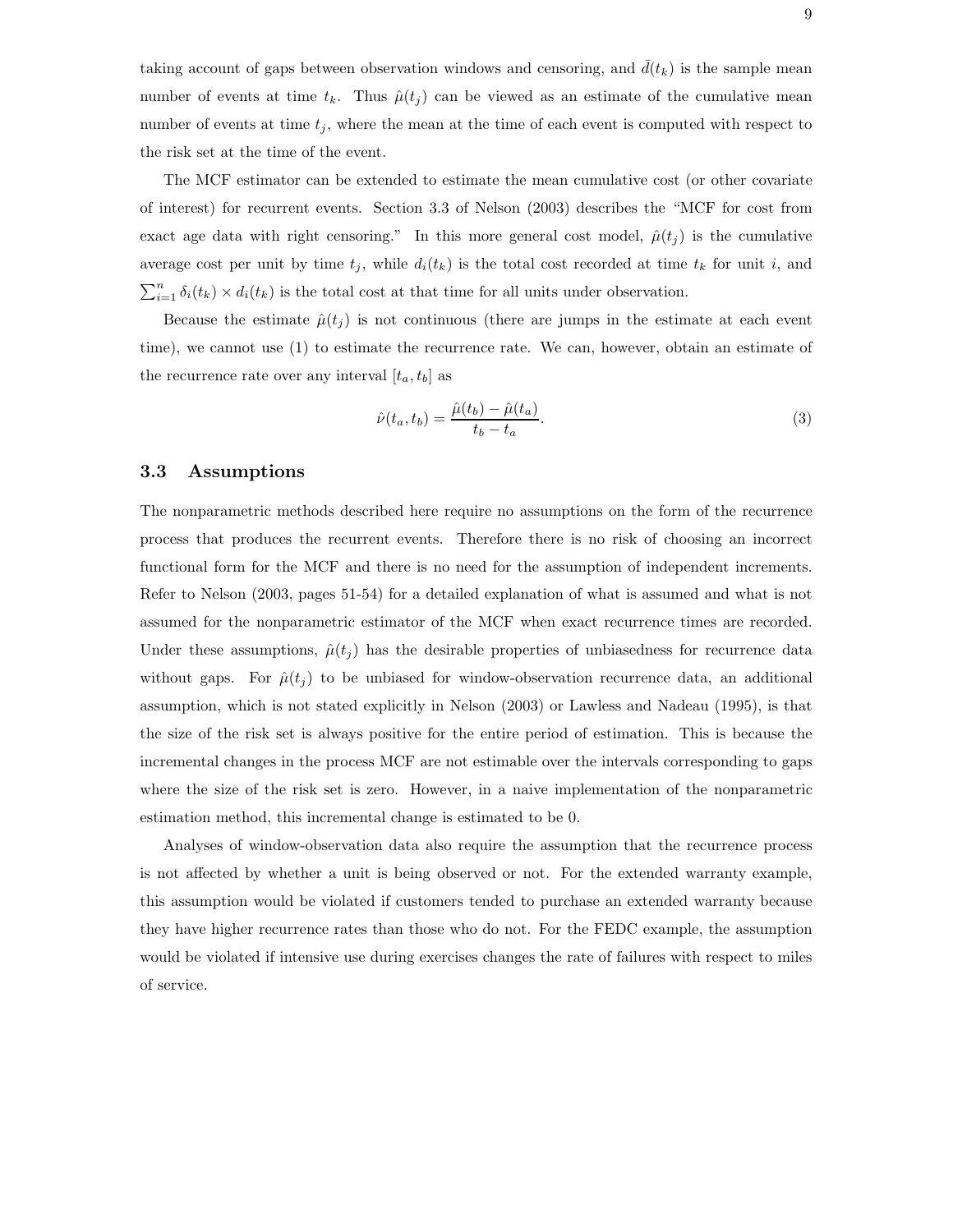taking account of gaps between observation windows and censoring, and  $d(t_k)$  is the sample mean number of events at time  $t_k$ . Thus  $\hat{\mu}(t_i)$  can be viewed as an estimate of the cumulative mean number of events at time  $t_j$ , where the mean at the time of each event is computed with respect to the risk set at the time of the event.

The MCF estimator can be extended to estimate the mean cumulative cost (or other covariate of interest) for recurrent events. Section 3.3 of Nelson (2003) describes the "MCF for cost from exact age data with right censoring." In this more general cost model,  $\hat{\mu}(t_i)$  is the cumulative average cost per unit by time  $t_j$ , while  $d_i(t_k)$  is the total cost recorded at time  $t_k$  for unit i, and  $\sum_{i=1}^{n} \delta_i(t_k) \times d_i(t_k)$  is the total cost at that time for all units under observation.

Because the estimate  $\hat{\mu}(t_i)$  is not continuous (there are jumps in the estimate at each event time), we cannot use (1) to estimate the recurrence rate. We can, however, obtain an estimate of the recurrence rate over any interval  $[t_a, t_b]$  as

$$
\hat{\nu}(t_a, t_b) = \frac{\hat{\mu}(t_b) - \hat{\mu}(t_a)}{t_b - t_a}.
$$
\n
$$
(3)
$$

#### **3.3 Assumptions**

The nonparametric methods described here require no assumptions on the form of the recurrence process that produces the recurrent events. Therefore there is no risk of choosing an incorrect functional form for the MCF and there is no need for the assumption of independent increments. Refer to Nelson (2003, pages 51-54) for a detailed explanation of what is assumed and what is not assumed for the nonparametric estimator of the MCF when exact recurrence times are recorded. Under these assumptions,  $\hat{\mu}(t_i)$  has the desirable properties of unbiasedness for recurrence data without gaps. For  $\hat{\mu}(t_i)$  to be unbiased for window-observation recurrence data, an additional assumption, which is not stated explicitly in Nelson (2003) or Lawless and Nadeau (1995), is that the size of the risk set is always positive for the entire period of estimation. This is because the incremental changes in the process MCF are not estimable over the intervals corresponding to gaps where the size of the risk set is zero. However, in a naive implementation of the nonparametric estimation method, this incremental change is estimated to be 0.

Analyses of window-observation data also require the assumption that the recurrence process is not affected by whether a unit is being observed or not. For the extended warranty example, this assumption would be violated if customers tended to purchase an extended warranty because they have higher recurrence rates than those who do not. For the FEDC example, the assumption would be violated if intensive use during exercises changes the rate of failures with respect to miles of service.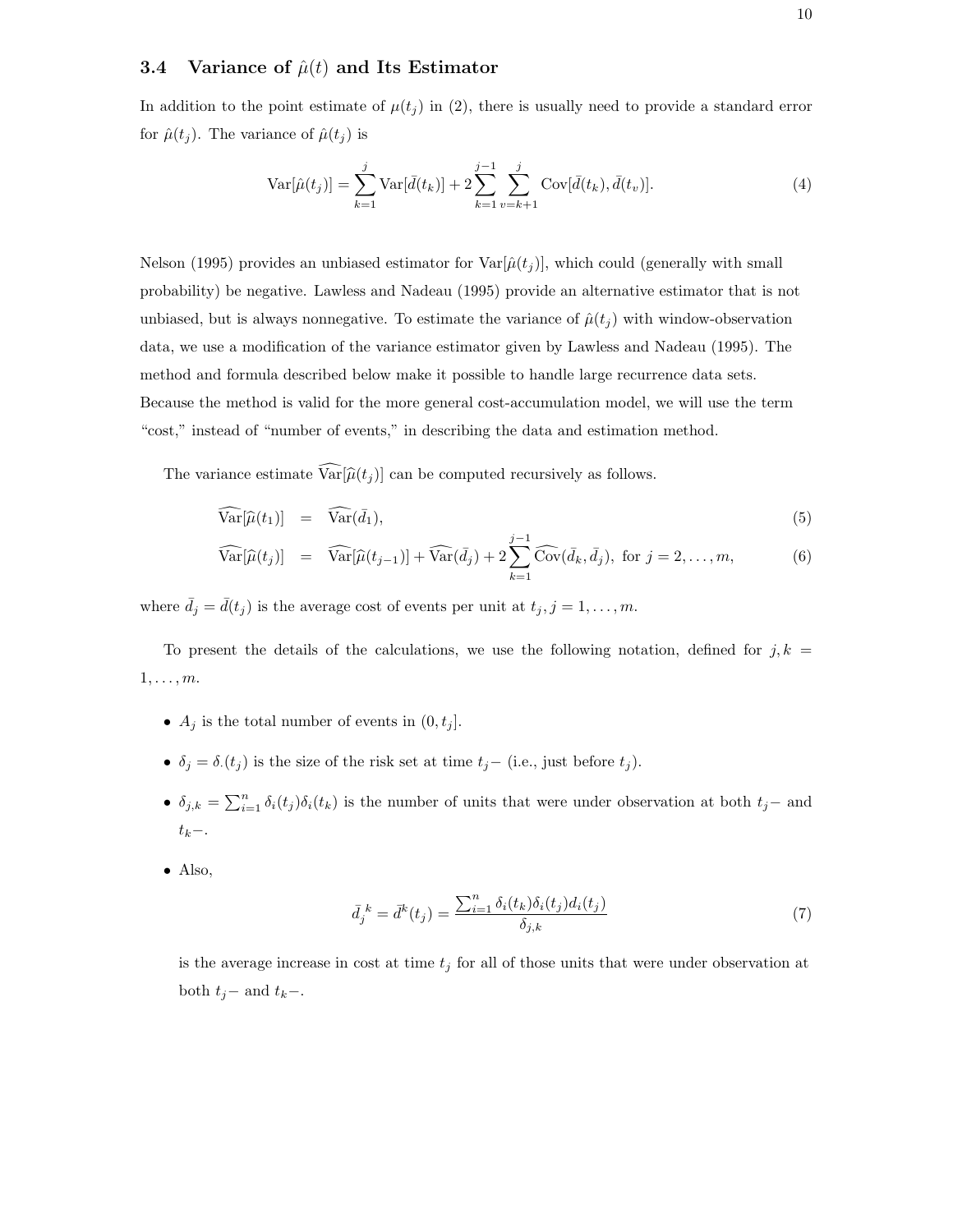#### **3.4** Variance of  $\hat{\mu}(t)$  and Its Estimator

In addition to the point estimate of  $\mu(t_i)$  in (2), there is usually need to provide a standard error for  $\hat{\mu}(t_j)$ . The variance of  $\hat{\mu}(t_j)$  is

$$
\text{Var}[\hat{\mu}(t_j)] = \sum_{k=1}^{j} \text{Var}[\bar{d}(t_k)] + 2 \sum_{k=1}^{j-1} \sum_{v=k+1}^{j} \text{Cov}[\bar{d}(t_k), \bar{d}(t_v)]. \tag{4}
$$

Nelson (1995) provides an unbiased estimator for  $\text{Var}[\hat{\mu}(t_j)]$ , which could (generally with small probability) be negative. Lawless and Nadeau (1995) provide an alternative estimator that is not unbiased, but is always nonnegative. To estimate the variance of  $\hat{\mu}(t_i)$  with window-observation data, we use a modification of the variance estimator given by Lawless and Nadeau (1995). The method and formula described below make it possible to handle large recurrence data sets. Because the method is valid for the more general cost-accumulation model, we will use the term "cost," instead of "number of events," in describing the data and estimation method.

The variance estimate  $Var[\hat{\mu}(t_j)]$  can be computed recursively as follows.

$$
\widehat{\text{Var}}[\widehat{\mu}(t_1)] = \widehat{\text{Var}}(\bar{d}_1), \tag{5}
$$

$$
\widehat{\text{Var}}[\widehat{\mu}(t_j)] = \widehat{\text{Var}}[\widehat{\mu}(t_{j-1})] + \widehat{\text{Var}}(\bar{d}_j) + 2 \sum_{k=1}^{j-1} \widehat{\text{Cov}}(\bar{d}_k, \bar{d}_j), \text{ for } j = 2, \dots, m,
$$
\n(6)

where  $\bar{d}_j = \bar{d}(t_j)$  is the average cost of events per unit at  $t_j, j = 1, \ldots, m$ .

To present the details of the calculations, we use the following notation, defined for  $j, k =$  $1,\ldots,m$ .

- $A_j$  is the total number of events in  $(0, t_j]$ .
- $\delta_j = \delta_i(t_j)$  is the size of the risk set at time  $t_j-$  (i.e., just before  $t_j$ ).
- $\delta_{j,k} = \sum_{i=1}^n \delta_i(t_j) \delta_i(t_k)$  is the number of units that were under observation at both  $t_j$  and  $t_k-$ .
- Also,

$$
\bar{d}_j{}^k = \bar{d}^k(t_j) = \frac{\sum_{i=1}^n \delta_i(t_k)\delta_i(t_j)d_i(t_j)}{\delta_{j,k}}
$$
\n
$$
\tag{7}
$$

is the average increase in cost at time  $t_j$  for all of those units that were under observation at both  $t_j$ − and  $t_k$ −.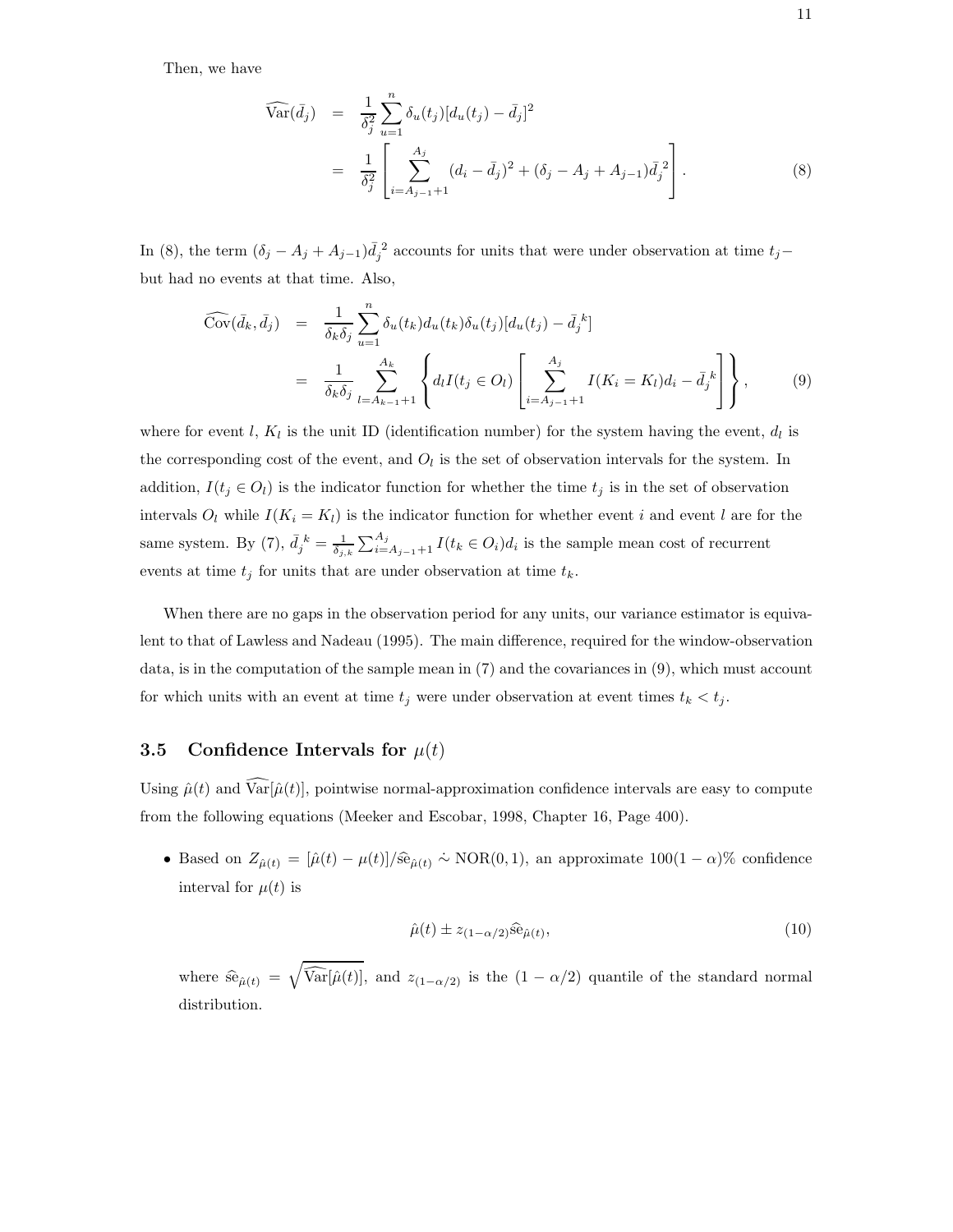Then, we have

$$
\widehat{\text{Var}}(\bar{d}_j) = \frac{1}{\delta_j^2} \sum_{u=1}^n \delta_u(t_j) [d_u(t_j) - \bar{d}_j]^2
$$
\n
$$
= \frac{1}{\delta_j^2} \left[ \sum_{i=A_{j-1}+1}^{A_j} (d_i - \bar{d}_j)^2 + (\delta_j - A_j + A_{j-1}) \bar{d}_j^2 \right]. \tag{8}
$$

In (8), the term  $(\delta_j - A_j + A_{j-1})\bar{d}_j^2$  accounts for units that were under observation at time  $t_j$ but had no events at that time. Also,

$$
\widehat{\text{Cov}}(\bar{d}_k, \bar{d}_j) = \frac{1}{\delta_k \delta_j} \sum_{u=1}^n \delta_u(t_k) d_u(t_k) \delta_u(t_j) [d_u(t_j) - \bar{d}_j]^k
$$
\n
$$
= \frac{1}{\delta_k \delta_j} \sum_{l=A_{k-1}+1}^{A_k} \left\{ d_l I(t_j \in O_l) \left[ \sum_{i=A_{j-1}+1}^{A_j} I(K_i = K_l) d_i - \bar{d}_j^k \right] \right\}, \tag{9}
$$

where for event l,  $K_l$  is the unit ID (identification number) for the system having the event,  $d_l$  is the corresponding cost of the event, and  $O_l$  is the set of observation intervals for the system. In addition,  $I(t_j \in O_l)$  is the indicator function for whether the time  $t_j$  is in the set of observation intervals  $O_l$  while  $I(K_i = K_l)$  is the indicator function for whether event i and event l are for the same system. By (7),  $\bar{d}_j^k = \frac{1}{\delta_{j,k}} \sum_{i=A_{j-1}+1}^{A_j} I(t_k \in O_i) d_i$  is the sample mean cost of recurrent events at time  $t_j$  for units that are under observation at time  $t_k$ .

When there are no gaps in the observation period for any units, our variance estimator is equivalent to that of Lawless and Nadeau (1995). The main difference, required for the window-observation data, is in the computation of the sample mean in (7) and the covariances in (9), which must account for which units with an event at time  $t_j$  were under observation at event times  $t_k < t_j$ .

#### **3.5** Confidence Intervals for  $\mu(t)$

Using  $\hat{\mu}(t)$  and  $\widehat{\text{Var}}[\hat{\mu}(t)]$ , pointwise normal-approximation confidence intervals are easy to compute from the following equations (Meeker and Escobar, 1998, Chapter 16, Page 400).

• Based on  $Z_{\hat{\mu}(t)} = [\hat{\mu}(t) - \mu(t)]/\hat{\text{se}}_{\hat{\mu}(t)} \sim \text{NOR}(0, 1)$ , an approximate  $100(1 - \alpha)\%$  confidence interval for  $\mu(t)$  is

$$
\hat{\mu}(t) \pm z_{(1-\alpha/2)}\hat{\rm se}_{\hat{\mu}(t)},\tag{10}
$$

where  $\widehat{\text{se}}_{\hat{\mu}(t)} = \sqrt{\widehat{\text{Var}}[\hat{\mu}(t)]}$ , and  $z_{(1-\alpha/2)}$  is the  $(1-\alpha/2)$  quantile of the standard normal distribution.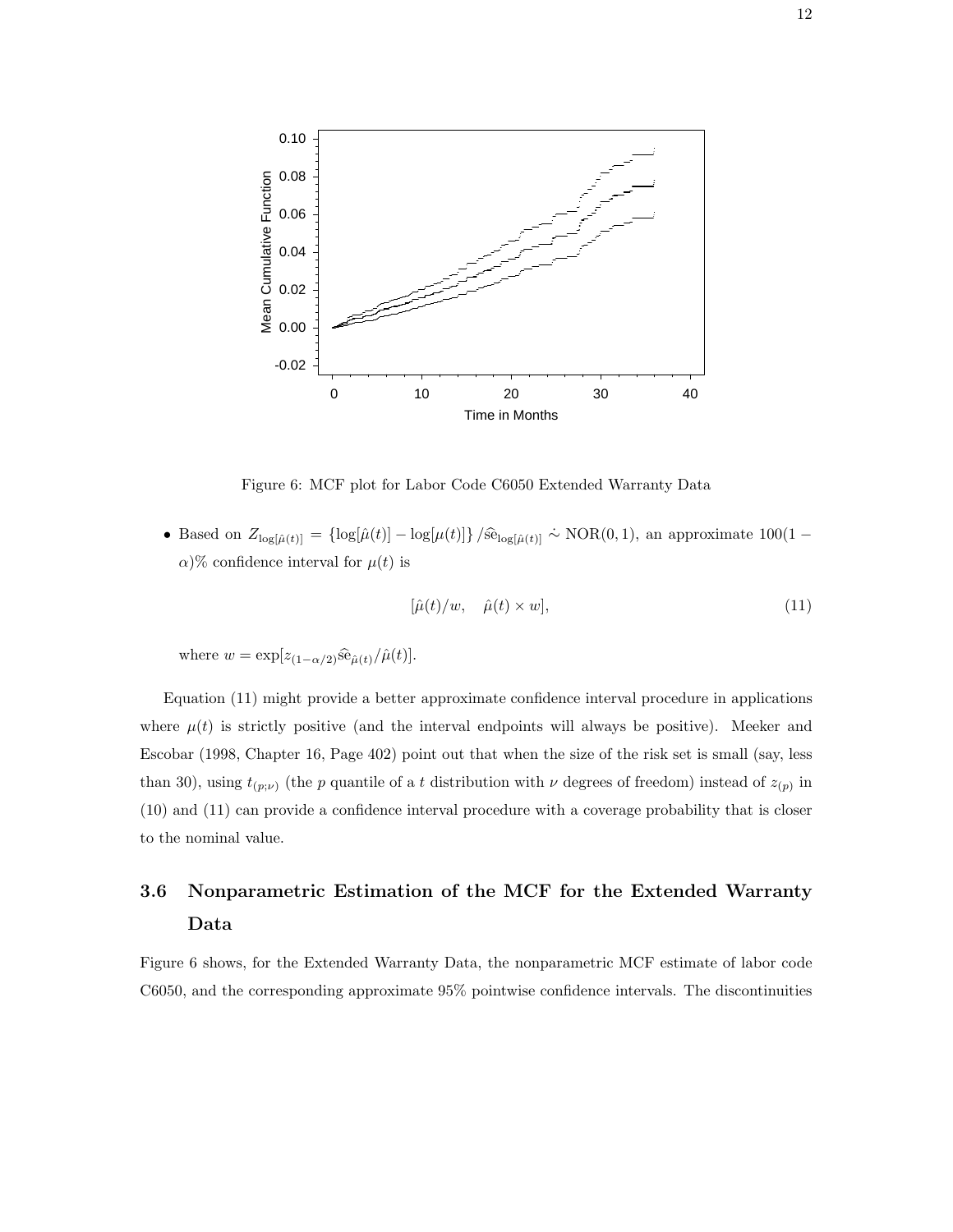

Figure 6: MCF plot for Labor Code C6050 Extended Warranty Data

• Based on  $Z_{\log[\hat{\mu}(t)]} = {\log[\hat{\mu}(t)] - \log[\mu(t)]\}/\hat{\text{se}}_{\log[\hat{\mu}(t)]} \sim \text{NOR}(0, 1)$ , an approximate  $100(1 \alpha$ )% confidence interval for  $\mu(t)$  is

$$
[\hat{\mu}(t)/w, \quad \hat{\mu}(t) \times w], \tag{11}
$$

where  $w = \exp[z_{(1-\alpha/2)}\widehat{\rm se}_{\widehat{\mu}(t)}/\widehat{\mu}(t)].$ 

Equation (11) might provide a better approximate confidence interval procedure in applications where  $\mu(t)$  is strictly positive (and the interval endpoints will always be positive). Meeker and Escobar (1998, Chapter 16, Page 402) point out that when the size of the risk set is small (say, less than 30), using  $t_{(p;\nu)}$  (the p quantile of a t distribution with  $\nu$  degrees of freedom) instead of  $z_{(p)}$  in (10) and (11) can provide a confidence interval procedure with a coverage probability that is closer to the nominal value.

# **3.6 Nonparametric Estimation of the MCF for the Extended Warranty Data**

Figure 6 shows, for the Extended Warranty Data, the nonparametric MCF estimate of labor code C6050, and the corresponding approximate 95% pointwise confidence intervals. The discontinuities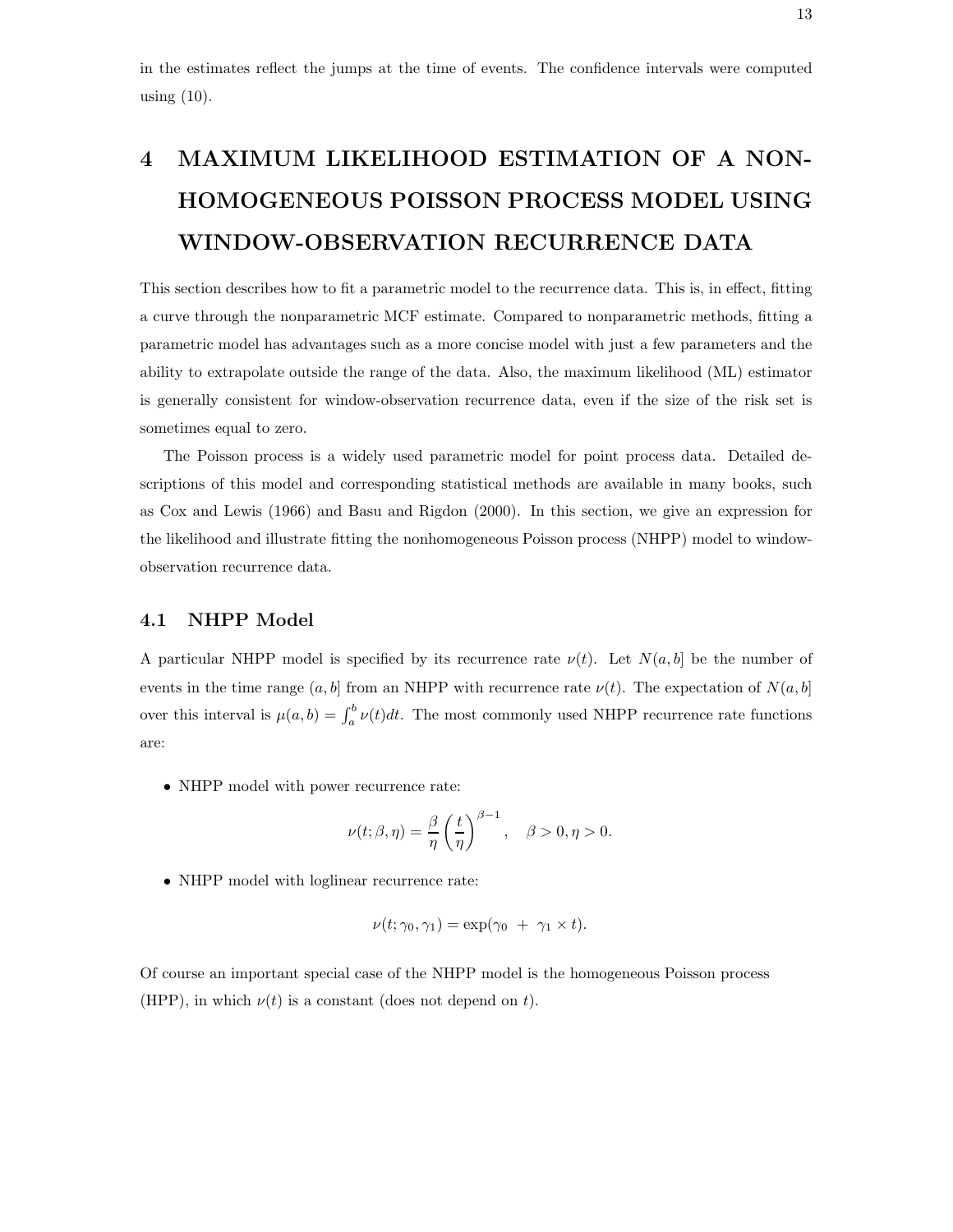in the estimates reflect the jumps at the time of events. The confidence intervals were computed using  $(10)$ .

# **4 MAXIMUM LIKELIHOOD ESTIMATION OF A NON-HOMOGENEOUS POISSON PROCESS MODEL USING WINDOW-OBSERVATION RECURRENCE DATA**

This section describes how to fit a parametric model to the recurrence data. This is, in effect, fitting a curve through the nonparametric MCF estimate. Compared to nonparametric methods, fitting a parametric model has advantages such as a more concise model with just a few parameters and the ability to extrapolate outside the range of the data. Also, the maximum likelihood (ML) estimator is generally consistent for window-observation recurrence data, even if the size of the risk set is sometimes equal to zero.

The Poisson process is a widely used parametric model for point process data. Detailed descriptions of this model and corresponding statistical methods are available in many books, such as Cox and Lewis (1966) and Basu and Rigdon (2000). In this section, we give an expression for the likelihood and illustrate fitting the nonhomogeneous Poisson process (NHPP) model to windowobservation recurrence data.

#### **4.1 NHPP Model**

A particular NHPP model is specified by its recurrence rate  $\nu(t)$ . Let  $N(a, b]$  be the number of events in the time range  $(a, b]$  from an NHPP with recurrence rate  $\nu(t)$ . The expectation of  $N(a, b]$ over this interval is  $\mu(a, b) = \int_a^b \nu(t) dt$ . The most commonly used NHPP recurrence rate functions are:

• NHPP model with power recurrence rate:

$$
\nu(t; \beta, \eta) = \frac{\beta}{\eta} \left(\frac{t}{\eta}\right)^{\beta - 1}, \quad \beta > 0, \eta > 0.
$$

• NHPP model with loglinear recurrence rate:

$$
\nu(t; \gamma_0, \gamma_1) = \exp(\gamma_0 + \gamma_1 \times t).
$$

Of course an important special case of the NHPP model is the homogeneous Poisson process (HPP), in which  $\nu(t)$  is a constant (does not depend on t).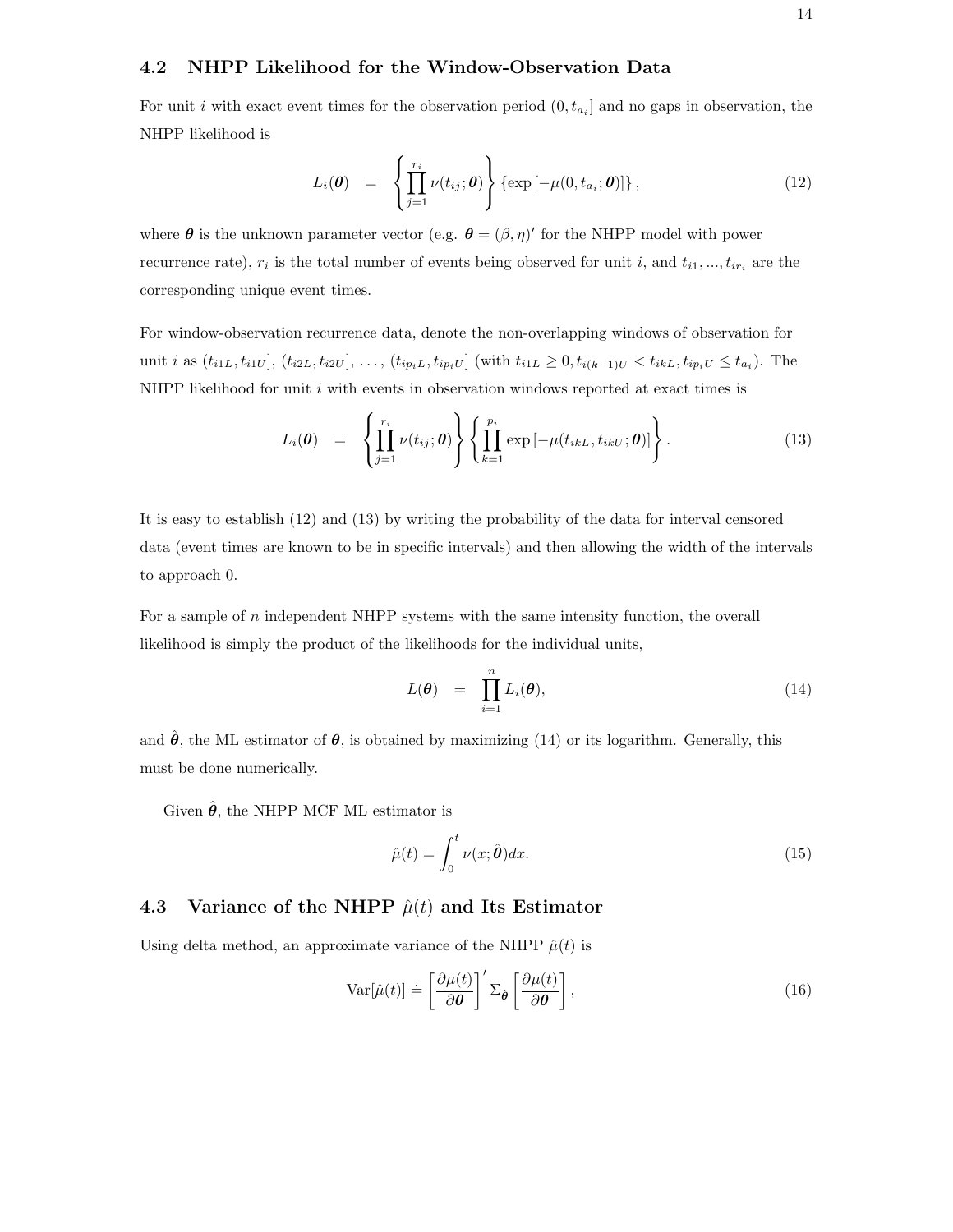#### **4.2 NHPP Likelihood for the Window-Observation Data**

For unit i with exact event times for the observation period  $(0, t_{a_i}]$  and no gaps in observation, the NHPP likelihood is

$$
L_i(\boldsymbol{\theta}) = \left\{ \prod_{j=1}^{r_i} \nu(t_{ij}; \boldsymbol{\theta}) \right\} \left\{ \exp \left[ -\mu(0, t_{a_i}; \boldsymbol{\theta}) \right] \right\}, \tag{12}
$$

where  $\theta$  is the unknown parameter vector (e.g.  $\theta = (\beta, \eta)'$  for the NHPP model with power recurrence rate),  $r_i$  is the total number of events being observed for unit i, and  $t_{i1}, ..., t_{ir_i}$  are the corresponding unique event times.

For window-observation recurrence data, denote the non-overlapping windows of observation for unit *i* as  $(t_{i1L}, t_{i1U}], (t_{i2L}, t_{i2U}], \ldots, (t_{ip_iL}, t_{ip_iU}]$  (with  $t_{i1L} \geq 0, t_{i(k-1)U} < t_{ikL}, t_{ip_iU} \leq t_{a_i}$ ). The NHPP likelihood for unit  $i$  with events in observation windows reported at exact times is

$$
L_i(\boldsymbol{\theta}) = \left\{ \prod_{j=1}^{r_i} \nu(t_{ij}; \boldsymbol{\theta}) \right\} \left\{ \prod_{k=1}^{p_i} \exp \left[ -\mu(t_{ikL}, t_{ikU}; \boldsymbol{\theta}) \right] \right\}.
$$
 (13)

It is easy to establish (12) and (13) by writing the probability of the data for interval censored data (event times are known to be in specific intervals) and then allowing the width of the intervals to approach 0.

For a sample of  $n$  independent NHPP systems with the same intensity function, the overall likelihood is simply the product of the likelihoods for the individual units,

$$
L(\boldsymbol{\theta}) = \prod_{i=1}^{n} L_i(\boldsymbol{\theta}), \qquad (14)
$$

and  $\hat{\theta}$ , the ML estimator of  $\theta$ , is obtained by maximizing (14) or its logarithm. Generally, this must be done numerically.

Given  $\hat{\theta}$ , the NHPP MCF ML estimator is

$$
\hat{\mu}(t) = \int_0^t \nu(x; \hat{\boldsymbol{\theta}}) dx.
$$
\n(15)

#### **4.3** Variance of the NHPP  $\hat{\mu}(t)$  and Its Estimator

Using delta method, an approximate variance of the NHPP  $\hat{\mu}(t)$  is

$$
\text{Var}[\hat{\mu}(t)] \doteq \left[\frac{\partial \mu(t)}{\partial \theta}\right]' \Sigma_{\hat{\theta}} \left[\frac{\partial \mu(t)}{\partial \theta}\right],\tag{16}
$$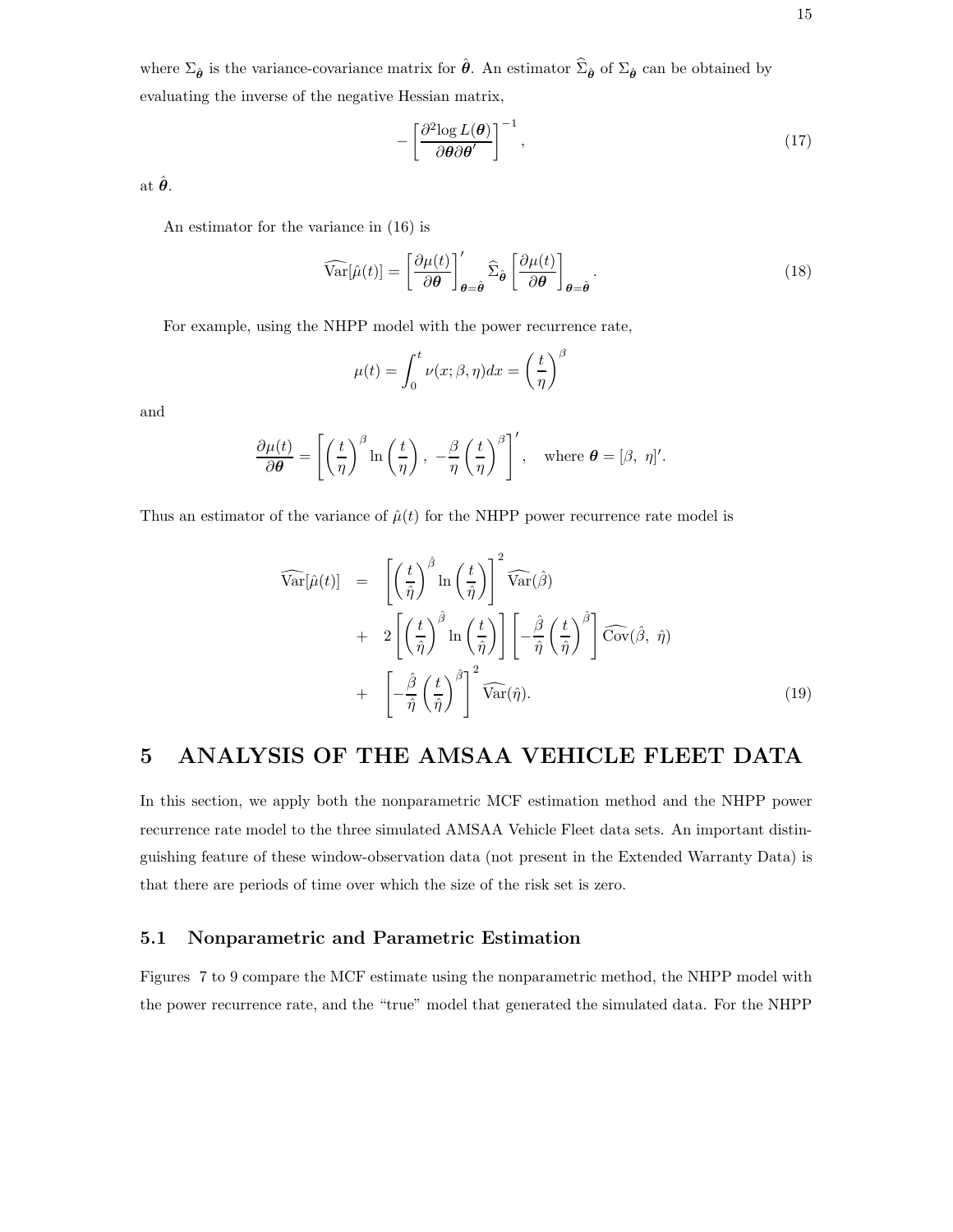where  $\Sigma_{\hat{\theta}}$  is the variance-covariance matrix for  $\hat{\theta}$ . An estimator  $\hat{\Sigma}_{\hat{\theta}}$  of  $\Sigma_{\hat{\theta}}$  can be obtained by evaluating the inverse of the negative Hessian matrix,

$$
-\left[\frac{\partial^2 \log L(\boldsymbol{\theta})}{\partial \boldsymbol{\theta} \partial \boldsymbol{\theta}'}\right]^{-1},\tag{17}
$$

at  $\hat{\boldsymbol{\theta}}$ .

An estimator for the variance in (16) is

$$
\widehat{\text{Var}}[\hat{\mu}(t)] = \left[\frac{\partial \mu(t)}{\partial \theta}\right]_{\theta=\hat{\theta}}' \widehat{\Sigma}_{\hat{\theta}} \left[\frac{\partial \mu(t)}{\partial \theta}\right]_{\theta=\hat{\theta}}.
$$
\n(18)

For example, using the NHPP model with the power recurrence rate,

$$
\mu(t) = \int_0^t \nu(x; \beta, \eta) dx = \left(\frac{t}{\eta}\right)^{\beta}
$$

and

$$
\frac{\partial \mu(t)}{\partial \theta} = \left[ \left( \frac{t}{\eta} \right)^{\beta} \ln \left( \frac{t}{\eta} \right), -\frac{\beta}{\eta} \left( \frac{t}{\eta} \right)^{\beta} \right], \text{ where } \theta = [\beta, \eta]'
$$

Thus an estimator of the variance of  $\hat{\mu}(t)$  for the NHPP power recurrence rate model is

$$
\widehat{\text{Var}}[\hat{\mu}(t)] = \left[ \left(\frac{t}{\hat{\eta}}\right)^{\hat{\beta}} \ln\left(\frac{t}{\hat{\eta}}\right) \right]^2 \widehat{\text{Var}}(\hat{\beta}) \n+ 2 \left[ \left(\frac{t}{\hat{\eta}}\right)^{\hat{\beta}} \ln\left(\frac{t}{\hat{\eta}}\right) \right] \left[ -\frac{\hat{\beta}}{\hat{\eta}} \left(\frac{t}{\hat{\eta}}\right)^{\hat{\beta}} \right] \widehat{\text{Cov}}(\hat{\beta}, \hat{\eta}) \n+ \left[ -\frac{\hat{\beta}}{\hat{\eta}} \left(\frac{t}{\hat{\eta}}\right)^{\hat{\beta}} \right]^2 \widehat{\text{Var}}(\hat{\eta}).
$$
\n(19)

## **5 ANALYSIS OF THE AMSAA VEHICLE FLEET DATA**

In this section, we apply both the nonparametric MCF estimation method and the NHPP power recurrence rate model to the three simulated AMSAA Vehicle Fleet data sets. An important distinguishing feature of these window-observation data (not present in the Extended Warranty Data) is that there are periods of time over which the size of the risk set is zero.

#### **5.1 Nonparametric and Parametric Estimation**

Figures 7 to 9 compare the MCF estimate using the nonparametric method, the NHPP model with the power recurrence rate, and the "true" model that generated the simulated data. For the NHPP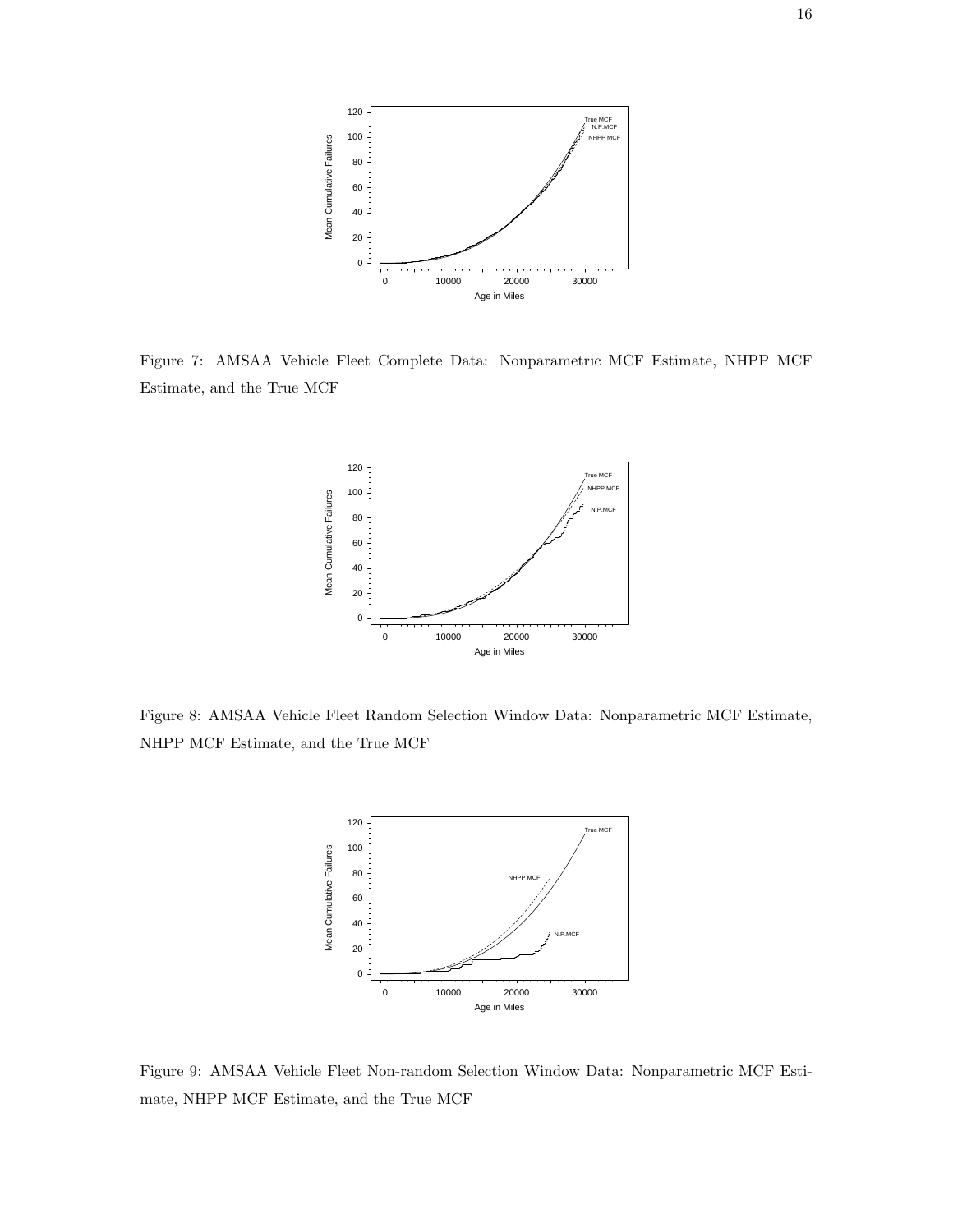

Figure 7: AMSAA Vehicle Fleet Complete Data: Nonparametric MCF Estimate, NHPP MCF Estimate, and the True MCF



Figure 8: AMSAA Vehicle Fleet Random Selection Window Data: Nonparametric MCF Estimate, NHPP MCF Estimate, and the True MCF



Figure 9: AMSAA Vehicle Fleet Non-random Selection Window Data: Nonparametric MCF Estimate, NHPP MCF Estimate, and the True MCF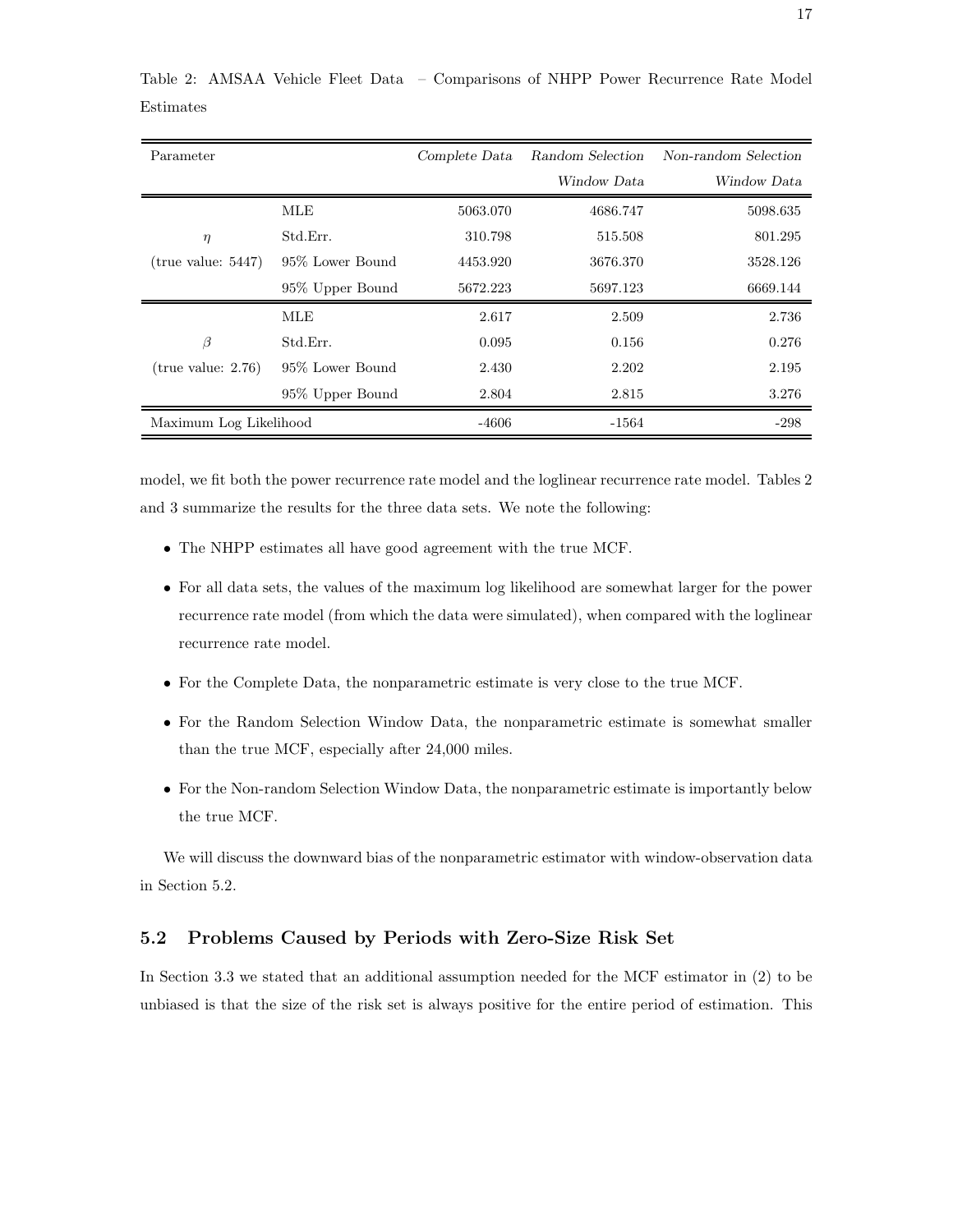| Parameter              |                  | Complete Data | Random Selection | Non-random Selection |
|------------------------|------------------|---------------|------------------|----------------------|
|                        |                  |               | Window Data      | Window Data          |
|                        | MLE              | 5063.070      | 4686.747         | 5098.635             |
| $\eta$                 | Std.Err.         | 310.798       | 515.508          | 801.295              |
| (true value: 5447)     | 95% Lower Bound  | 4453.920      | 3676.370         | 3528.126             |
|                        | 95\% Upper Bound | 5672.223      | 5697.123         | 6669.144             |
|                        | MLE              | 2.617         | 2.509            | 2.736                |
| $\beta$                | Std.Err.         | 0.095         | 0.156            | 0.276                |
| (true value: 2.76)     | 95% Lower Bound  | 2.430         | 2.202            | 2.195                |
|                        | 95\% Upper Bound | 2.804         | 2.815            | 3.276                |
| Maximum Log Likelihood |                  | -4606         | -1564            | $-298$               |

Table 2: AMSAA Vehicle Fleet Data – Comparisons of NHPP Power Recurrence Rate Model Estimates

model, we fit both the power recurrence rate model and the loglinear recurrence rate model. Tables 2 and 3 summarize the results for the three data sets. We note the following:

- The NHPP estimates all have good agreement with the true MCF.
- For all data sets, the values of the maximum log likelihood are somewhat larger for the power recurrence rate model (from which the data were simulated), when compared with the loglinear recurrence rate model.
- For the Complete Data, the nonparametric estimate is very close to the true MCF.
- For the Random Selection Window Data, the nonparametric estimate is somewhat smaller than the true MCF, especially after 24,000 miles.
- For the Non-random Selection Window Data, the nonparametric estimate is importantly below the true MCF.

We will discuss the downward bias of the nonparametric estimator with window-observation data in Section 5.2.

#### **5.2 Problems Caused by Periods with Zero-Size Risk Set**

In Section 3.3 we stated that an additional assumption needed for the MCF estimator in (2) to be unbiased is that the size of the risk set is always positive for the entire period of estimation. This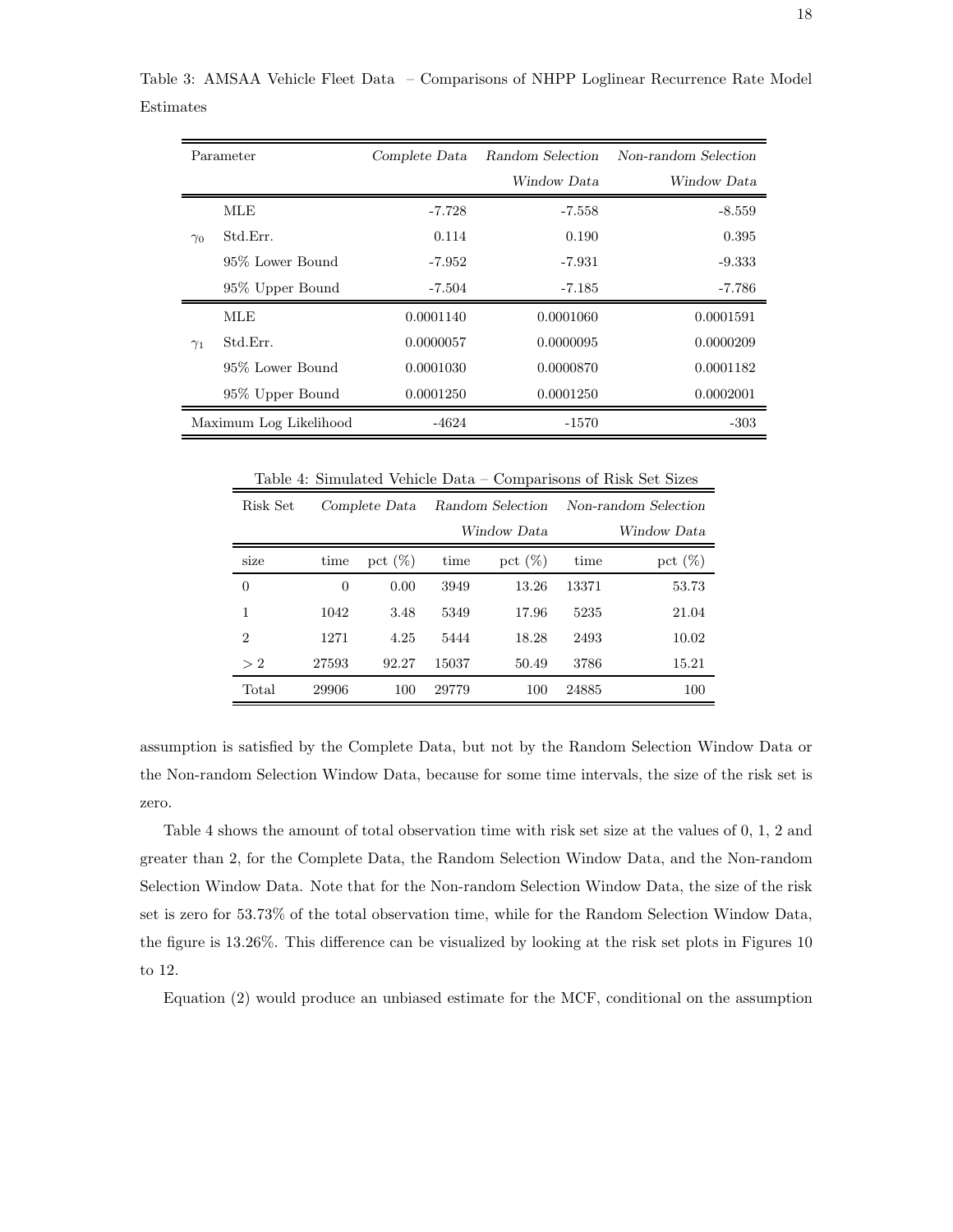| Parameter              |                  | Complete Data | Random Selection | Non-random Selection |  |
|------------------------|------------------|---------------|------------------|----------------------|--|
|                        |                  |               | Window Data      | Window Data          |  |
|                        | MLE              | $-7.728$      | $-7.558$         | $-8.559$             |  |
| $\gamma_0$             | Std.Err.         | 0.114         | 0.190            | 0.395                |  |
|                        | 95% Lower Bound  | -7.952        | $-7.931$         | $-9.333$             |  |
|                        | 95\% Upper Bound | $-7.504$      | $-7.185$         | -7.786               |  |
|                        | MLE              | 0.0001140     | 0.0001060        | 0.0001591            |  |
| $\gamma_1$             | Std.Err.         | 0.0000057     | 0.0000095        | 0.0000209            |  |
|                        | 95% Lower Bound  | 0.0001030     | 0.0000870        | 0.0001182            |  |
|                        | 95\% Upper Bound | 0.0001250     | 0.0001250        | 0.0002001            |  |
| Maximum Log Likelihood |                  | -4624         | -1570            | -303                 |  |

Table 3: AMSAA Vehicle Fleet Data – Comparisons of NHPP Loglinear Recurrence Rate Model Estimates

Table 4: Simulated Vehicle Data – Comparisons of Risk Set Sizes

| Risk Set       |       | Complete Data |             | Random Selection |       | Non-random Selection |  |
|----------------|-------|---------------|-------------|------------------|-------|----------------------|--|
|                |       |               | Window Data |                  |       | Window Data          |  |
| size           | time  | pct $(\%)$    | time        | pct $(\%)$       | time  | pct $(\%)$           |  |
| $\overline{0}$ | 0     | 0.00          | 3949        | 13.26            | 13371 | 53.73                |  |
| 1              | 1042  | 3.48          | 5349        | 17.96            | 5235  | 21.04                |  |
| $\overline{2}$ | 1271  | 4.25          | 5444        | 18.28            | 2493  | 10.02                |  |
| >2             | 27593 | 92.27         | 15037       | 50.49            | 3786  | 15.21                |  |
| Total          | 29906 | 100           | 29779       | 100              | 24885 | 100                  |  |

assumption is satisfied by the Complete Data, but not by the Random Selection Window Data or the Non-random Selection Window Data, because for some time intervals, the size of the risk set is zero.

Table 4 shows the amount of total observation time with risk set size at the values of 0, 1, 2 and greater than 2, for the Complete Data, the Random Selection Window Data, and the Non-random Selection Window Data. Note that for the Non-random Selection Window Data, the size of the risk set is zero for 53.73% of the total observation time, while for the Random Selection Window Data, the figure is 13.26%. This difference can be visualized by looking at the risk set plots in Figures 10 to 12.

Equation (2) would produce an unbiased estimate for the MCF, conditional on the assumption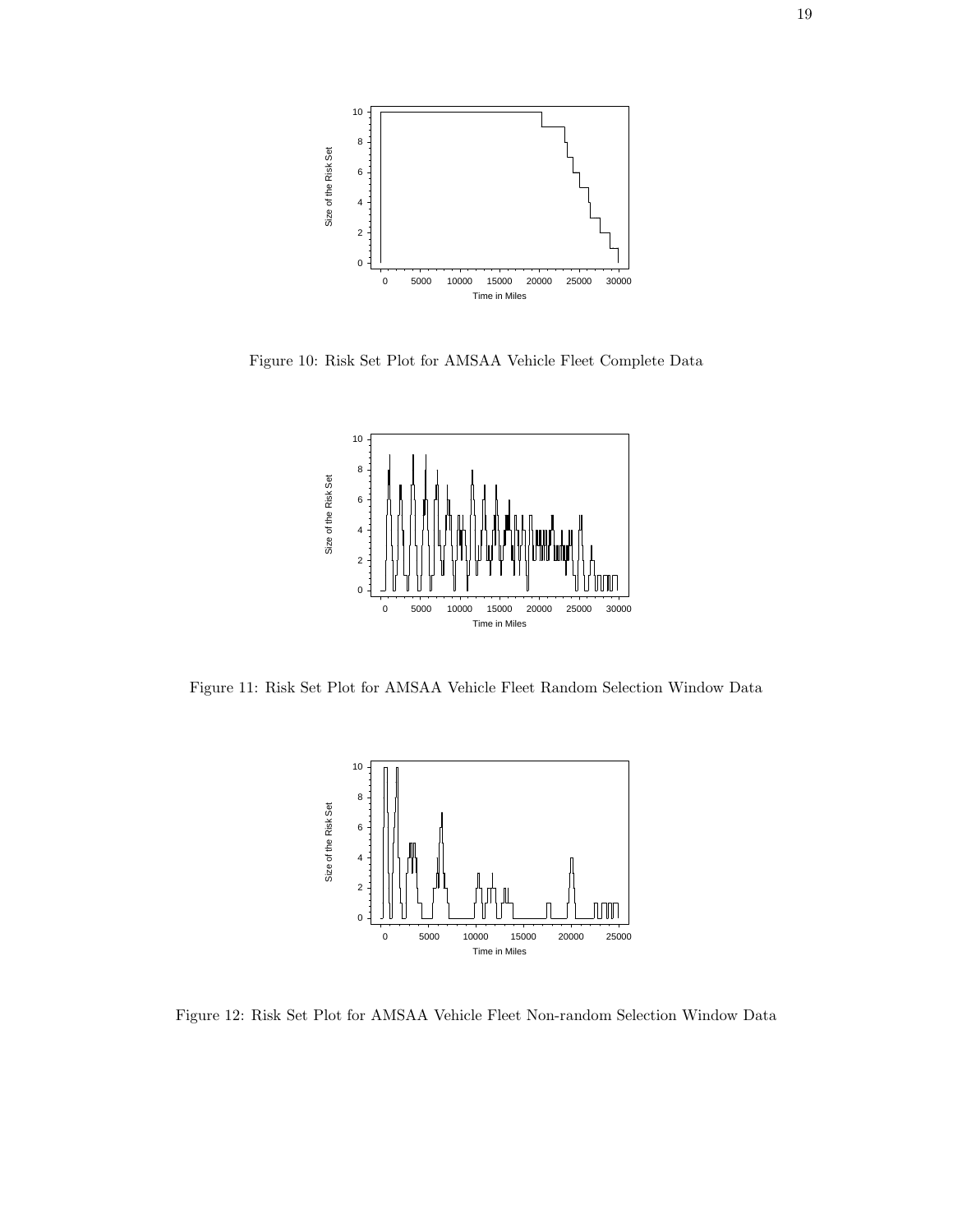

Figure 10: Risk Set Plot for AMSAA Vehicle Fleet Complete Data



Figure 11: Risk Set Plot for AMSAA Vehicle Fleet Random Selection Window Data



Figure 12: Risk Set Plot for AMSAA Vehicle Fleet Non-random Selection Window Data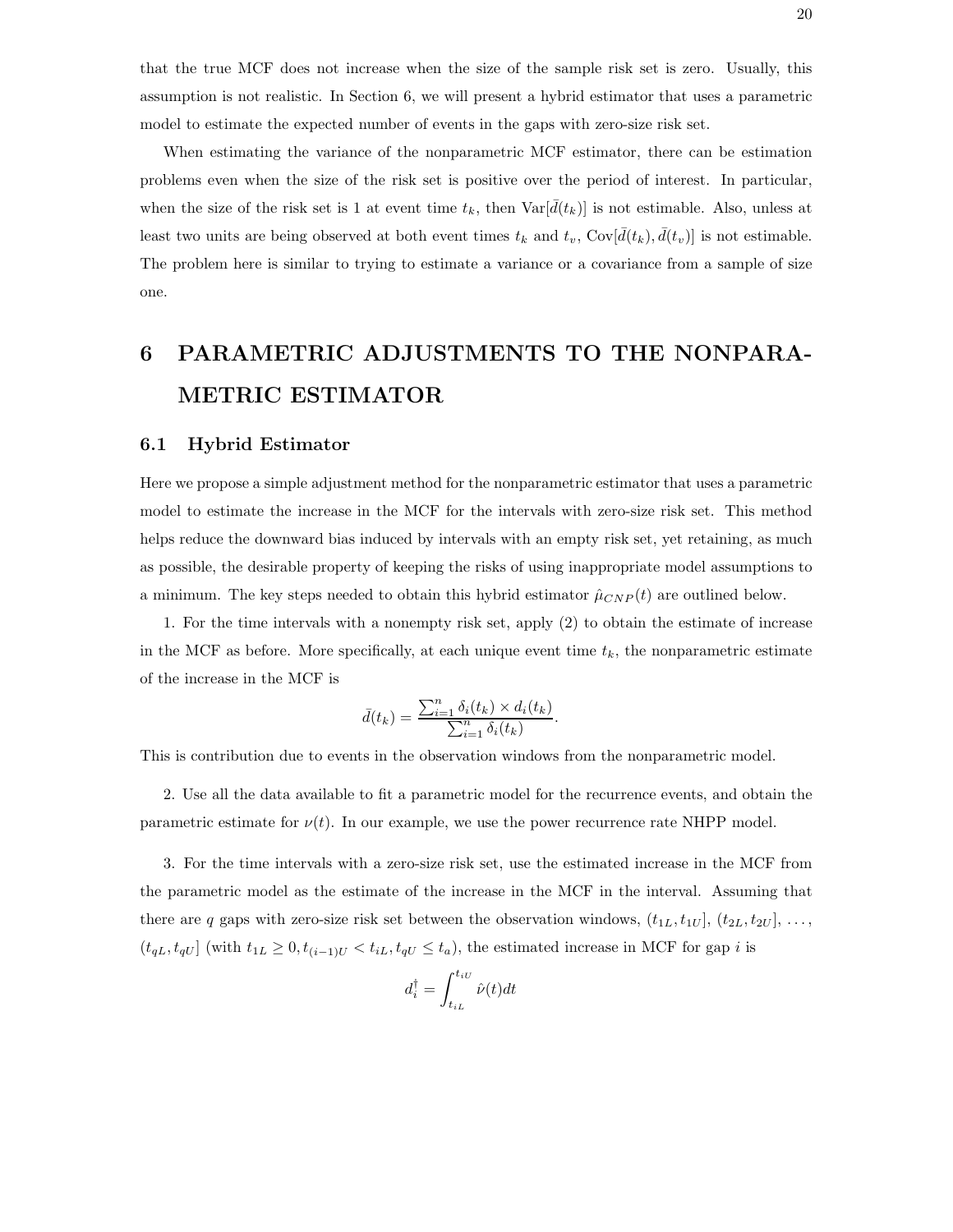that the true MCF does not increase when the size of the sample risk set is zero. Usually, this assumption is not realistic. In Section 6, we will present a hybrid estimator that uses a parametric model to estimate the expected number of events in the gaps with zero-size risk set.

When estimating the variance of the nonparametric MCF estimator, there can be estimation problems even when the size of the risk set is positive over the period of interest. In particular, when the size of the risk set is 1 at event time  $t_k$ , then  $\text{Var}[\bar{d}(t_k)]$  is not estimable. Also, unless at least two units are being observed at both event times  $t_k$  and  $t_v$ ,  $Cov[\bar{d}(t_k), \bar{d}(t_v)]$  is not estimable. The problem here is similar to trying to estimate a variance or a covariance from a sample of size one.

# **6 PARAMETRIC ADJUSTMENTS TO THE NONPARA-METRIC ESTIMATOR**

#### **6.1 Hybrid Estimator**

Here we propose a simple adjustment method for the nonparametric estimator that uses a parametric model to estimate the increase in the MCF for the intervals with zero-size risk set. This method helps reduce the downward bias induced by intervals with an empty risk set, yet retaining, as much as possible, the desirable property of keeping the risks of using inappropriate model assumptions to a minimum. The key steps needed to obtain this hybrid estimator  $\hat{\mu}_{CNP}(t)$  are outlined below.

1. For the time intervals with a nonempty risk set, apply (2) to obtain the estimate of increase in the MCF as before. More specifically, at each unique event time  $t_k$ , the nonparametric estimate of the increase in the MCF is

$$
\bar{d}(t_k) = \frac{\sum_{i=1}^n \delta_i(t_k) \times d_i(t_k)}{\sum_{i=1}^n \delta_i(t_k)}.
$$

This is contribution due to events in the observation windows from the nonparametric model.

2. Use all the data available to fit a parametric model for the recurrence events, and obtain the parametric estimate for  $\nu(t)$ . In our example, we use the power recurrence rate NHPP model.

3. For the time intervals with a zero-size risk set, use the estimated increase in the MCF from the parametric model as the estimate of the increase in the MCF in the interval. Assuming that there are q gaps with zero-size risk set between the observation windows,  $(t_{1L}, t_{1U}]$ ,  $(t_{2L}, t_{2U}]$ , ...,  $(t_{qL}, t_{qU}]$  (with  $t_{1L} \geq 0, t_{(i-1)U} < t_{iL}, t_{qU} \leq t_a$ ), the estimated increase in MCF for gap i is

$$
d_i^{\dagger} = \int_{t_{iL}}^{t_{iU}} \hat{\nu}(t) dt
$$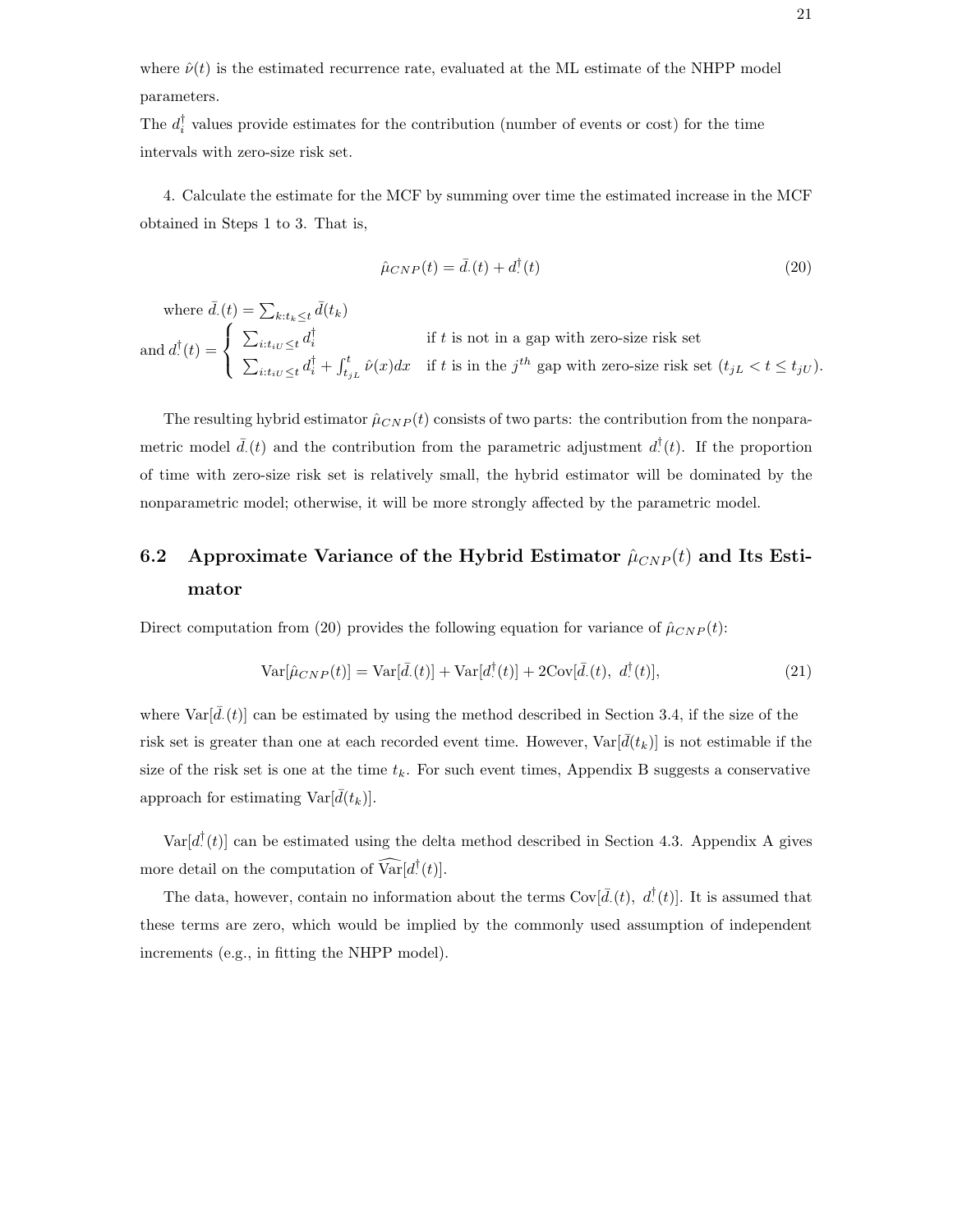where  $\hat{\nu}(t)$  is the estimated recurrence rate, evaluated at the ML estimate of the NHPP model parameters.

The  $d_i^{\dagger}$  values provide estimates for the contribution (number of events or cost) for the time intervals with zero-size risk set.

4. Calculate the estimate for the MCF by summing over time the estimated increase in the MCF obtained in Steps 1 to 3. That is,

$$
\hat{\mu}_{CNP}(t) = \bar{d}(t) + d^{\dagger}(t)
$$
\n(20)

where  $\bar{d}(t) = \sum_{k:t_k \leq t} \bar{d}(t_k)$ and  $d^{\dagger}(t) =$  $\Gamma$  $\mathsf{I}$  $\mathsf{I}$  $\sum_{i:t_{i}U \leq t} d_i^{\dagger}$  if t is not in a gap with zero-size risk set  $\sum_{i:t_{iU}\leq t} d_i^{\dagger} + \int_{t_{jL}}^{t} \hat{\nu}(x)dx$  if t is in the j<sup>th</sup> gap with zero-size risk set  $(t_{jL} < t \leq t_{jU})$ .

The resulting hybrid estimator  $\hat{\mu}_{CNP}(t)$  consists of two parts: the contribution from the nonparametric model  $\bar{d}(t)$  and the contribution from the parametric adjustment  $d^{\dagger}(t)$ . If the proportion of time with zero-size risk set is relatively small, the hybrid estimator will be dominated by the nonparametric model; otherwise, it will be more strongly affected by the parametric model.

# **6.2** Approximate Variance of the Hybrid Estimator  $\hat{\mu}_{CNP}(t)$  and Its Esti**mator**

Direct computation from (20) provides the following equation for variance of  $\hat{\mu}_{CNP}(t)$ :

$$
\text{Var}[\hat{\mu}_{CNP}(t)] = \text{Var}[\bar{d}_{\cdot}(t)] + \text{Var}[d_{\cdot}^{\dagger}(t)] + 2\text{Cov}[\bar{d}_{\cdot}(t), d_{\cdot}^{\dagger}(t)],\tag{21}
$$

where  $\text{Var}[\bar{d}(t)]$  can be estimated by using the method described in Section 3.4, if the size of the risk set is greater than one at each recorded event time. However,  $Var[\bar{d}(t_k)]$  is not estimable if the size of the risk set is one at the time  $t_k$ . For such event times, Appendix B suggests a conservative approach for estimating  $\text{Var}[\bar{d}(t_k)].$ 

 $Var[d<sup>T</sup>(t)]$  can be estimated using the delta method described in Section 4.3. Appendix A gives more detail on the computation of  $Var[d]$ <sup>T</sup> $(t)$ ].

The data, however, contain no information about the terms  $Cov[\bar{d}, (t), d^{\dagger}(t)]$ . It is assumed that these terms are zero, which would be implied by the commonly used assumption of independent increments (e.g., in fitting the NHPP model).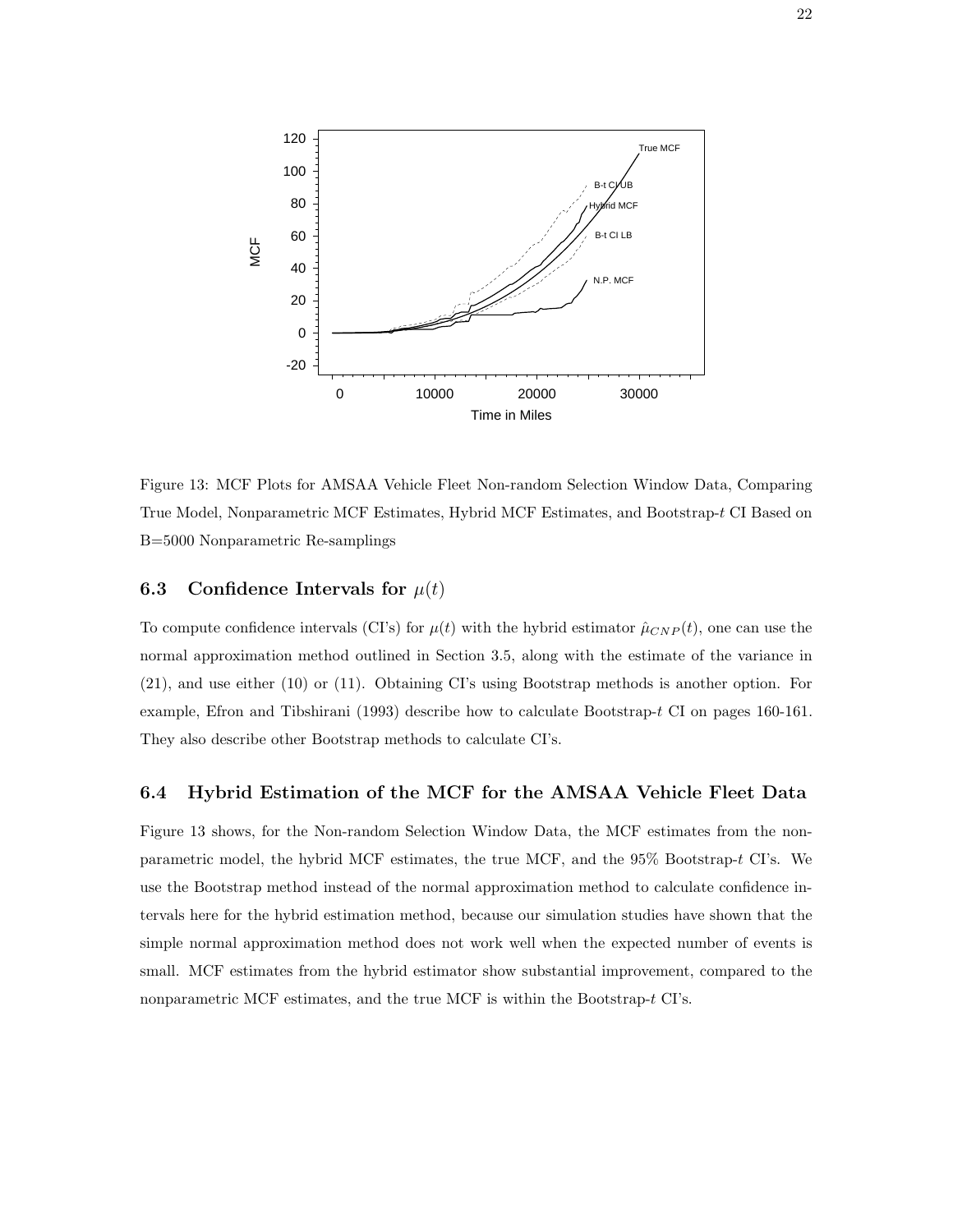

Figure 13: MCF Plots for AMSAA Vehicle Fleet Non-random Selection Window Data, Comparing True Model, Nonparametric MCF Estimates, Hybrid MCF Estimates, and Bootstrap-t CI Based on B=5000 Nonparametric Re-samplings

#### **6.3** Confidence Intervals for  $\mu(t)$

To compute confidence intervals (CI's) for  $\mu(t)$  with the hybrid estimator  $\hat{\mu}_{CNP}(t)$ , one can use the normal approximation method outlined in Section 3.5, along with the estimate of the variance in (21), and use either (10) or (11). Obtaining CI's using Bootstrap methods is another option. For example, Efron and Tibshirani (1993) describe how to calculate Bootstrap-t CI on pages 160-161. They also describe other Bootstrap methods to calculate CI's.

#### **6.4 Hybrid Estimation of the MCF for the AMSAA Vehicle Fleet Data**

Figure 13 shows, for the Non-random Selection Window Data, the MCF estimates from the nonparametric model, the hybrid MCF estimates, the true MCF, and the 95% Bootstrap-t CI's. We use the Bootstrap method instead of the normal approximation method to calculate confidence intervals here for the hybrid estimation method, because our simulation studies have shown that the simple normal approximation method does not work well when the expected number of events is small. MCF estimates from the hybrid estimator show substantial improvement, compared to the nonparametric MCF estimates, and the true MCF is within the Bootstrap-t CI's.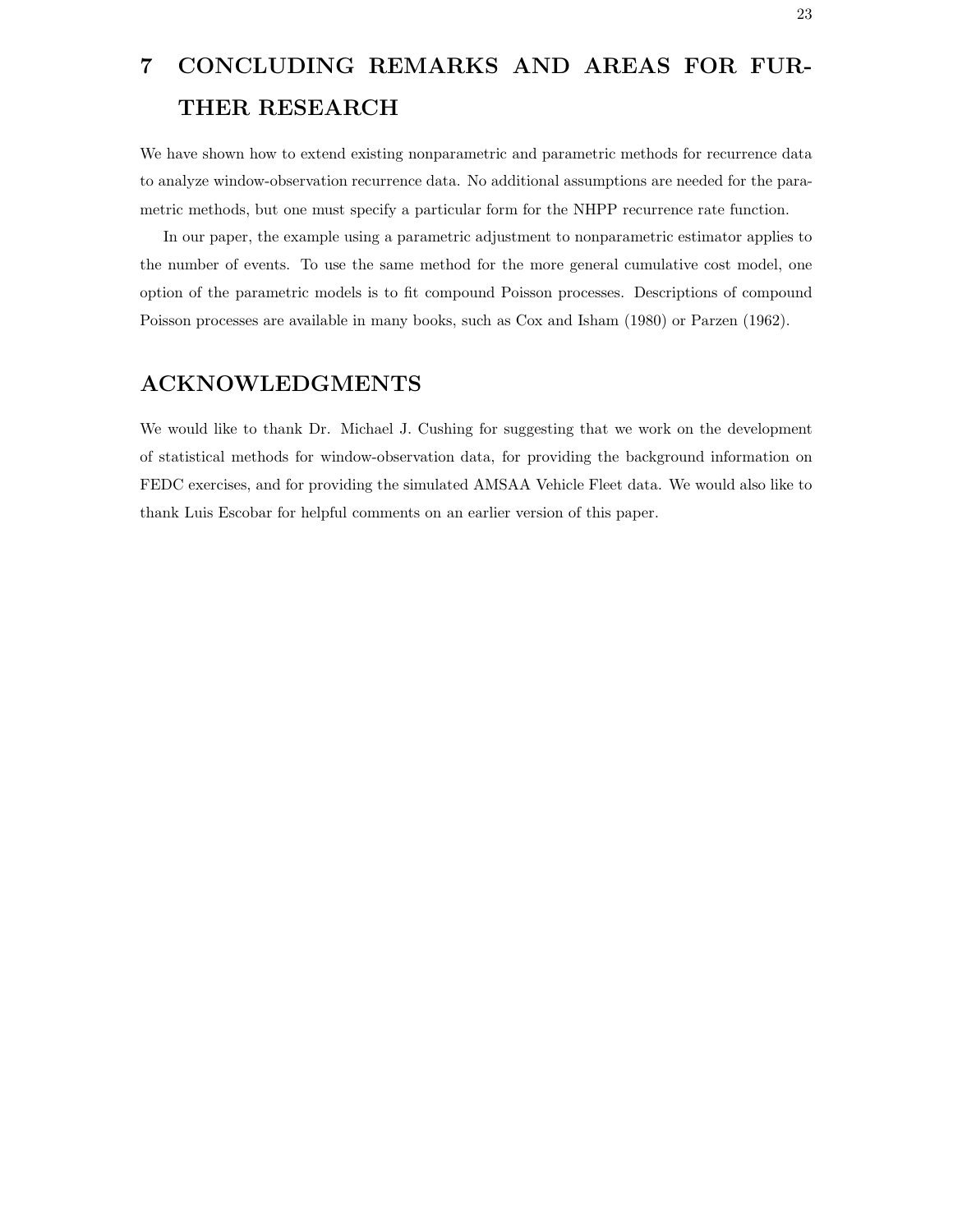# **7 CONCLUDING REMARKS AND AREAS FOR FUR-THER RESEARCH**

We have shown how to extend existing nonparametric and parametric methods for recurrence data to analyze window-observation recurrence data. No additional assumptions are needed for the parametric methods, but one must specify a particular form for the NHPP recurrence rate function.

In our paper, the example using a parametric adjustment to nonparametric estimator applies to the number of events. To use the same method for the more general cumulative cost model, one option of the parametric models is to fit compound Poisson processes. Descriptions of compound Poisson processes are available in many books, such as Cox and Isham (1980) or Parzen (1962).

## **ACKNOWLEDGMENTS**

We would like to thank Dr. Michael J. Cushing for suggesting that we work on the development of statistical methods for window-observation data, for providing the background information on FEDC exercises, and for providing the simulated AMSAA Vehicle Fleet data. We would also like to thank Luis Escobar for helpful comments on an earlier version of this paper.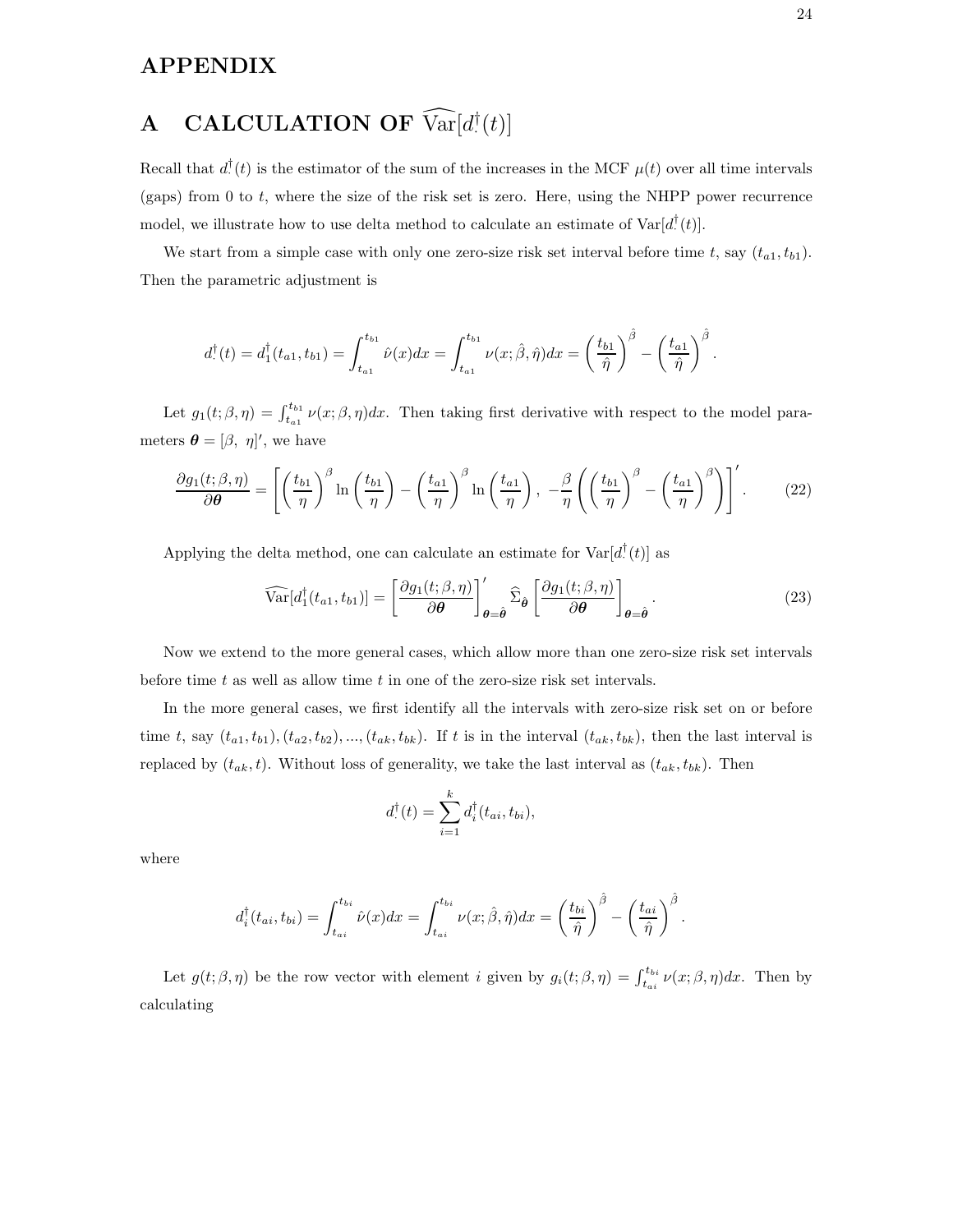## **APPENDIX**

# **A** CALCULATION OF  $\widehat{\text{Var}}[d^{\dagger}(t)]$

Recall that  $d^{\dagger}(t)$  is the estimator of the sum of the increases in the MCF  $\mu(t)$  over all time intervals (gaps) from 0 to  $t$ , where the size of the risk set is zero. Here, using the NHPP power recurrence model, we illustrate how to use delta method to calculate an estimate of  $Var[d^{\dagger}(t)]$ .

We start from a simple case with only one zero-size risk set interval before time t, say  $(t_{a1}, t_{b1})$ . Then the parametric adjustment is

$$
d_1^{\dagger}(t) = d_1^{\dagger}(t_{a1}, t_{b1}) = \int_{t_{a1}}^{t_{b1}} \hat{\nu}(x) dx = \int_{t_{a1}}^{t_{b1}} \nu(x; \hat{\beta}, \hat{\eta}) dx = \left(\frac{t_{b1}}{\hat{\eta}}\right)^{\hat{\beta}} - \left(\frac{t_{a1}}{\hat{\eta}}\right)^{\hat{\beta}}.
$$

Let  $g_1(t;\beta,\eta) = \int_{t_{a1}}^{t_{b1}} \nu(x;\beta,\eta) dx$ . Then taking first derivative with respect to the model parameters  $\boldsymbol{\theta} = [\beta, \eta]'$ , we have

$$
\frac{\partial g_1(t;\beta,\eta)}{\partial \theta} = \left[ \left( \frac{t_{b1}}{\eta} \right)^{\beta} \ln \left( \frac{t_{b1}}{\eta} \right) - \left( \frac{t_{a1}}{\eta} \right)^{\beta} \ln \left( \frac{t_{a1}}{\eta} \right), -\frac{\beta}{\eta} \left( \left( \frac{t_{b1}}{\eta} \right)^{\beta} - \left( \frac{t_{a1}}{\eta} \right)^{\beta} \right) \right]'. \tag{22}
$$

Applying the delta method, one can calculate an estimate for  $Var[d^{T}(t)]$  as

$$
\widehat{\text{Var}}[d_1^\dagger(t_{a1}, t_{b1})] = \left[\frac{\partial g_1(t; \beta, \eta)}{\partial \theta}\right]'_{\theta = \hat{\theta}} \widehat{\Sigma}_{\hat{\theta}} \left[\frac{\partial g_1(t; \beta, \eta)}{\partial \theta}\right]_{\theta = \hat{\theta}}.
$$
\n(23)

Now we extend to the more general cases, which allow more than one zero-size risk set intervals before time  $t$  as well as allow time  $t$  in one of the zero-size risk set intervals.

In the more general cases, we first identify all the intervals with zero-size risk set on or before time t, say  $(t_{a1}, t_{b1}), (t_{a2}, t_{b2}), ..., (t_{ak}, t_{bk})$ . If t is in the interval  $(t_{ak}, t_{bk}),$  then the last interval is replaced by  $(t_{ak}, t)$ . Without loss of generality, we take the last interval as  $(t_{ak}, t_{bk})$ . Then

$$
d_{\cdot}^{\dagger}(t) = \sum_{i=1}^{k} d_{i}^{\dagger}(t_{ai}, t_{bi}),
$$

where

$$
d_i^{\dagger}(t_{ai}, t_{bi}) = \int_{t_{ai}}^{t_{bi}} \hat{\nu}(x) dx = \int_{t_{ai}}^{t_{bi}} \nu(x; \hat{\beta}, \hat{\eta}) dx = \left(\frac{t_{bi}}{\hat{\eta}}\right)^{\hat{\beta}} - \left(\frac{t_{ai}}{\hat{\eta}}\right)^{\hat{\beta}}.
$$

Let  $g(t; \beta, \eta)$  be the row vector with element *i* given by  $g_i(t; \beta, \eta) = \int_{t_{ai}}^{t_{bi}} \nu(x; \beta, \eta) dx$ . Then by calculating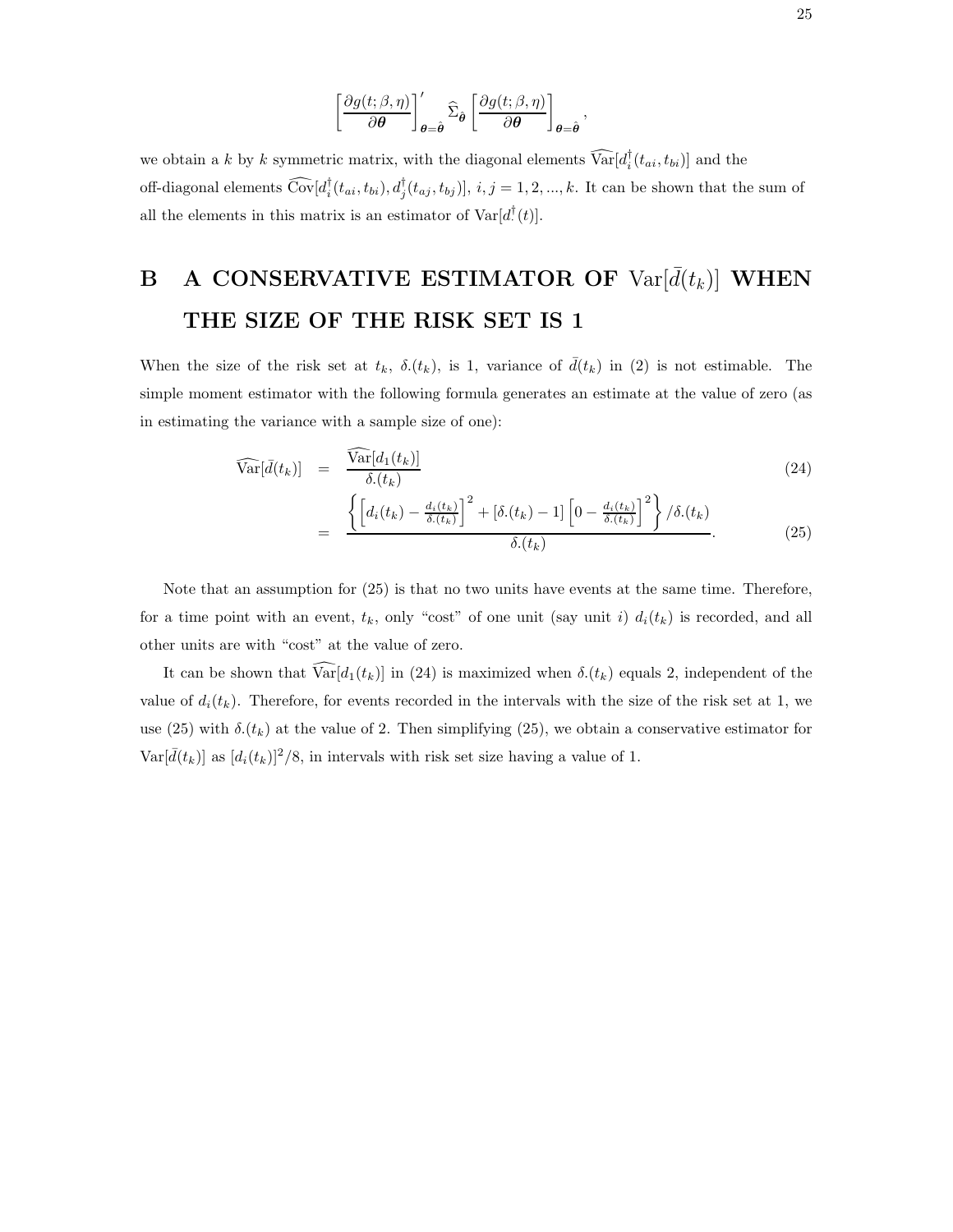$$
\left[\frac{\partial g(t;\beta,\eta)}{\partial \theta}\right]'_{\theta=\hat{\theta}}\widehat{\Sigma}_{\hat{\theta}}\left[\frac{\partial g(t;\beta,\eta)}{\partial \theta}\right]_{\theta=\hat{\theta}},
$$

we obtain a k by k symmetric matrix, with the diagonal elements  $Var[d_i(t_{ai}, t_{bi})]$  and the off-diagonal elements  $Cov[d_i^{\dagger}(t_{ai}, t_{bi}), d_j^{\dagger}(t_{aj}, t_{bj})], i, j = 1, 2, ..., k$ . It can be shown that the sum of all the elements in this matrix is an estimator of  $Var[d<sup>T</sup>(t)].$ 

# **B** A CONSERVATIVE ESTIMATOR OF  $Var[\bar{d}(t_k)]$  WHEN **THE SIZE OF THE RISK SET IS 1**

When the size of the risk set at  $t_k$ ,  $\delta(t_k)$ , is 1, variance of  $\bar{d}(t_k)$  in (2) is not estimable. The simple moment estimator with the following formula generates an estimate at the value of zero (as in estimating the variance with a sample size of one):

$$
\widehat{\text{Var}}[\bar{d}(t_k)] = \frac{\widehat{\text{Var}}[d_1(t_k)]}{\delta.(t_k)} \n= \frac{\left\{ \left[ d_i(t_k) - \frac{d_i(t_k)}{\delta.(t_k)} \right]^2 + [\delta.(t_k) - 1] \left[ 0 - \frac{d_i(t_k)}{\delta.(t_k)} \right]^2 \right\} / \delta.(t_k)}{\delta.(t_k)}.
$$
\n(24)

Note that an assumption for (25) is that no two units have events at the same time. Therefore, for a time point with an event,  $t_k$ , only "cost" of one unit (say unit i)  $d_i(t_k)$  is recorded, and all other units are with "cost" at the value of zero.

It can be shown that  $\widehat{\text{Var}}[d_1(t_k)]$  in (24) is maximized when  $\delta(t_k)$  equals 2, independent of the value of  $d_i(t_k)$ . Therefore, for events recorded in the intervals with the size of the risk set at 1, we use (25) with  $\delta(t_k)$  at the value of 2. Then simplifying (25), we obtain a conservative estimator for  $\text{Var}[\bar{d}(t_k)]$  as  $[d_i(t_k)]^2/8$ , in intervals with risk set size having a value of 1.